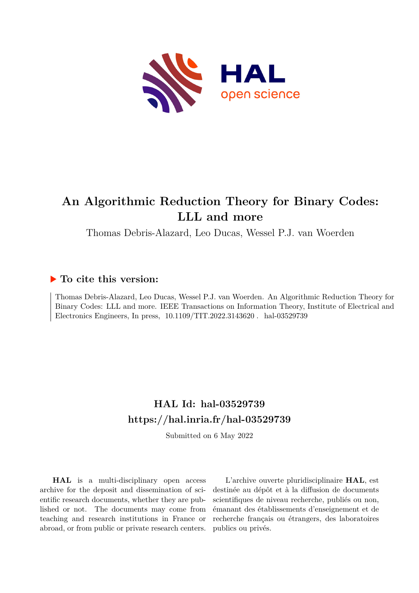

# **An Algorithmic Reduction Theory for Binary Codes: LLL and more**

Thomas Debris-Alazard, Leo Ducas, Wessel P.J. van Woerden

## **To cite this version:**

Thomas Debris-Alazard, Leo Ducas, Wessel P.J. van Woerden. An Algorithmic Reduction Theory for Binary Codes: LLL and more. IEEE Transactions on Information Theory, Institute of Electrical and Electronics Engineers, In press,  $10.1109/TIT.2022.3143620$ . hal-03529739

# **HAL Id: hal-03529739 <https://hal.inria.fr/hal-03529739>**

Submitted on 6 May 2022

**HAL** is a multi-disciplinary open access archive for the deposit and dissemination of scientific research documents, whether they are published or not. The documents may come from teaching and research institutions in France or abroad, or from public or private research centers.

L'archive ouverte pluridisciplinaire **HAL**, est destinée au dépôt et à la diffusion de documents scientifiques de niveau recherche, publiés ou non, émanant des établissements d'enseignement et de recherche français ou étrangers, des laboratoires publics ou privés.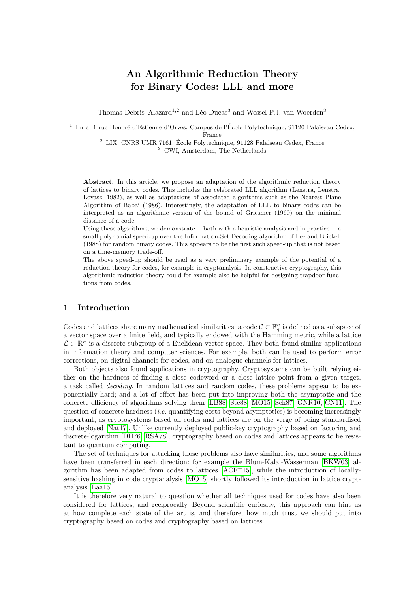## An Algorithmic Reduction Theory for Binary Codes: LLL and more

Thomas Debris–Alazard<sup>1,2</sup> and Léo Ducas<sup>3</sup> and Wessel P.J. van Woerden<sup>3</sup>

<sup>1</sup> Inria, 1 rue Honoré d'Estienne d'Orves, Campus de l'École Polytechnique, 91120 Palaiseau Cedex,

France

 $^2$  LIX, CNRS UMR 7161, École Polytechnique, 91128 Palaiseau Cedex, France <sup>3</sup> CWI, Amsterdam, The Netherlands

Abstract. In this article, we propose an adaptation of the algorithmic reduction theory of lattices to binary codes. This includes the celebrated LLL algorithm (Lenstra, Lenstra, Lovasz, 1982), as well as adaptations of associated algorithms such as the Nearest Plane Algorithm of Babai (1986). Interestingly, the adaptation of LLL to binary codes can be interpreted as an algorithmic version of the bound of Griesmer (1960) on the minimal distance of a code.

Using these algorithms, we demonstrate —both with a heuristic analysis and in practice— a small polynomial speed-up over the Information-Set Decoding algorithm of Lee and Brickell (1988) for random binary codes. This appears to be the first such speed-up that is not based on a time-memory trade-off.

The above speed-up should be read as a very preliminary example of the potential of a reduction theory for codes, for example in cryptanalysis. In constructive cryptography, this algorithmic reduction theory could for example also be helpful for designing trapdoor functions from codes.

### 1 Introduction

Codes and lattices share many mathematical similarities; a code  $\mathcal{C} \subset \mathbb{F}_q^n$  is defined as a subspace of a vector space over a finite field, and typically endowed with the Hamming metric, while a lattice  $\mathcal{L} \subset \mathbb{R}^n$  is a discrete subgroup of a Euclidean vector space. They both found similar applications in information theory and computer sciences. For example, both can be used to perform error corrections, on digital channels for codes, and on analogue channels for lattices.

Both objects also found applications in cryptography. Cryptosystems can be built relying either on the hardness of finding a close codeword or a close lattice point from a given target, a task called decoding. In random lattices and random codes, these problems appear to be exponentially hard; and a lot of effort has been put into improving both the asymptotic and the concrete efficiency of algorithms solving them [LB88, Ste88, MO15, Sch87, GNR10, CN11]. The question of concrete hardness (*i.e.* quantifying costs beyond asymptotics) is becoming increasingly important, as cryptosystems based on codes and lattices are on the verge of being standardised and deployed [Nat17]. Unlike currently deployed public-key cryptography based on factoring and discrete-logarithm [DH76, RSA78], cryptography based on codes and lattices appears to be resistant to quantum computing.

The set of techniques for attacking those problems also have similarities, and some algorithms have been transferred in each direction: for example the Blum-Kalai-Wasserman [BKW03] algorithm has been adapted from codes to lattices  $[ACF<sup>+</sup>15]$ , while the introduction of locallysensitive hashing in code cryptanalysis [MO15] shortly followed its introduction in lattice cryptanalysis [Laa15].

It is therefore very natural to question whether all techniques used for codes have also been considered for lattices, and reciprocally. Beyond scientific curiosity, this approach can hint us at how complete each state of the art is, and therefore, how much trust we should put into cryptography based on codes and cryptography based on lattices.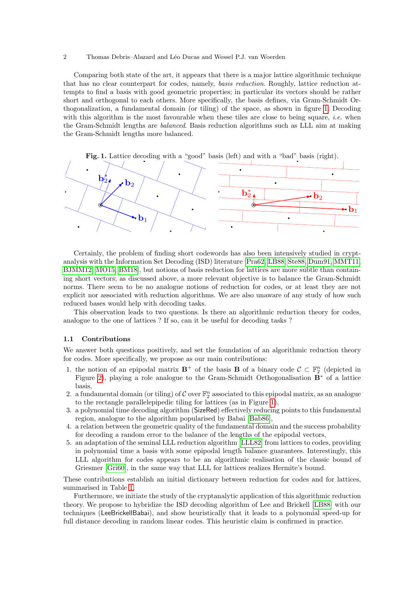Comparing both state of the art, it appears that there is a major lattice algorithmic technique that has no clear counterpart for codes, namely, basis reduction. Roughly, lattice reduction attempts to find a basis with good geometric properties; in particular its vectors should be rather short and orthogonal to each others. More specifically, the basis defines, via Gram-Schmidt Orthogonalization, a fundamental domain (or tiling) of the space, as shown in figure 1. Decoding with this algorithm is the most favourable when these tiles are close to being square, *i.e.* when the Gram-Schmidt lengths are balanced. Basis reduction algorithms such as LLL aim at making the Gram-Schmidt lengths more balanced.





Certainly, the problem of finding short codewords has also been intensively studied in cryptanalysis with the Information Set Decoding (ISD) literature [Pra62, LB88, Ste88, Dum91, MMT11, BJMM12, MO15, BM18, but notions of basis reduction for lattices are more subtle than containing short vectors; as discussed above, a more relevant objective is to balance the Gram-Schmidt norms. There seem to be no analogue notions of reduction for codes, or at least they are not explicit nor associated with reduction algorithms. We are also unaware of any study of how such reduced bases would help with decoding tasks.

This observation leads to two questions. Is there an algorithmic reduction theory for codes, analogue to the one of lattices ? If so, can it be useful for decoding tasks ?

### 1.1 Contributions

We answer both questions positively, and set the foundation of an algorithmic reduction theory for codes. More specifically, we propose as our main contributions:

- 1. the notion of an epipodal matrix  $\mathbf{B}^+$  of the basis **B** of a binary code  $\mathcal{C} \subset \mathbb{F}_2^n$  (depicted in Figure 2), playing a role analogue to the Gram-Schmidt Orthogonalisation B<sup>∗</sup> of a lattice basis,
- 2. a fundamental domain (or tiling) of  $\mathcal C$  over  $\mathbb F_2^n$  associated to this epipodal matrix, as an analogue to the rectangle parallelepipedic tiling for lattices (as in Figure 1),
- 3. a polynomial time decoding algorithm (SizeRed) effectively reducing points to this fundamental region, analogue to the algorithm popularised by Babai [Bab86],
- 4. a relation between the geometric quality of the fundamental domain and the success probability for decoding a random error to the balance of the lengths of the epipodal vectors,
- 5. an adaptation of the seminal LLL reduction algorithm [LLL82] from lattices to codes, providing in polynomial time a basis with some epipodal length balance guarantees. Interestingly, this LLL algorithm for codes appears to be an algorithmic realisation of the classic bound of Griesmer [Gri60], in the same way that LLL for lattices realizes Hermite's bound.

These contributions establish an initial dictionary between reduction for codes and for lattices, summarised in Table 1.

Furthermore, we initiate the study of the cryptanalytic application of this algorithmic reduction theory. We propose to hybridize the ISD decoding algorithm of Lee and Brickell [LB88] with our techniques (LeeBrickellBabai), and show heuristically that it leads to a polynomial speed-up for full distance decoding in random linear codes. This heuristic claim is confirmed in practice.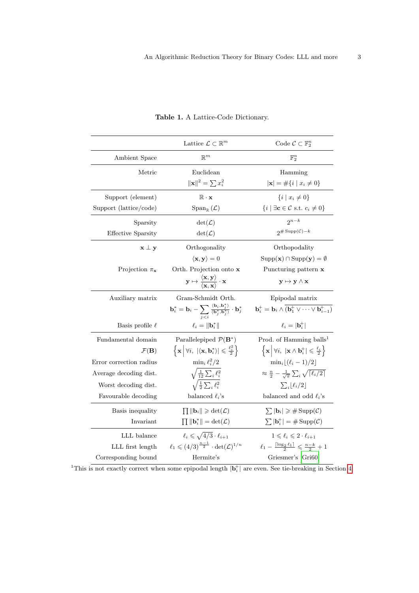|                               | Lattice $\mathcal{L} \subset \mathbb{R}^m$                                                                                                                                 | Code $\mathcal{C} \subset \mathbb{F}_2^n$                                                                                       |
|-------------------------------|----------------------------------------------------------------------------------------------------------------------------------------------------------------------------|---------------------------------------------------------------------------------------------------------------------------------|
| Ambient Space                 | $\mathbb{R}^m$                                                                                                                                                             | $\mathbb{F}_2^n$                                                                                                                |
| Metric                        | Euclidean                                                                                                                                                                  | Hamming                                                                                                                         |
|                               | $\ \mathbf{x}\ ^2 = \sum x_i^2$                                                                                                                                            | $ \mathbf{x}  = \#\{i \mid x_i \neq 0\}$                                                                                        |
| Support (element)             | $\mathbb{R} \cdot \mathbf{x}$                                                                                                                                              | $\{i \mid x_i \neq 0\}$                                                                                                         |
| Support (lattice/code)        | $Span_{\mathbb{R}}(\mathcal{L})$                                                                                                                                           | $\{i \mid \exists \mathbf{c} \in \mathcal{C} \text{ s.t. } c_i \neq 0\}$                                                        |
| Sparsity                      | $\det(\mathcal{L})$                                                                                                                                                        | $2^{n-k}$                                                                                                                       |
| <b>Effective Sparsity</b>     | $\det(\mathcal{L})$                                                                                                                                                        | $2^{\# \operatorname{Supp}(\mathcal{C})-k}$                                                                                     |
| $\mathbf{x} \perp \mathbf{y}$ | Orthogonality                                                                                                                                                              | Orthopodality                                                                                                                   |
|                               | $\langle \mathbf{x}, \mathbf{y} \rangle = 0$                                                                                                                               | $\text{Supp}(\mathbf{x}) \cap \text{Supp}(\mathbf{y}) = \emptyset$                                                              |
| Projection $\pi_{\mathbf{x}}$ | Orth. Projection onto x                                                                                                                                                    | Puncturing pattern x                                                                                                            |
|                               | $\mathbf{y} \mapsto \frac{\langle \mathbf{x}, \mathbf{y} \rangle}{\langle \mathbf{x}, \mathbf{x} \rangle} \cdot \mathbf{x}$                                                | $y \mapsto y \wedge x$                                                                                                          |
| Auxiliary matrix              | Gram-Schmidt Orth.                                                                                                                                                         | Epipodal matrix                                                                                                                 |
|                               | $\mathbf{b}_i^* = \mathbf{b}_i - \sum_{j \neq j} \frac{\langle \mathbf{b}_i, \mathbf{b}_j^* \rangle}{\langle \mathbf{b}_j^*, \mathbf{b}_j^* \rangle} \cdot \mathbf{b}_j^*$ | $\mathbf{b}_i^+ = \mathbf{b}_i \wedge \overline{(\mathbf{b}_1^+ \vee \cdots \vee \mathbf{b}_{i-1}^+)}$                          |
| Basis profile $\ell$          | $\ell_i = \ \mathbf{b}_i^*\ $                                                                                                                                              | $\ell_i =  {\bf b}_i^+ $                                                                                                        |
| Fundamental domain            | Parallelepiped $\mathcal{P}(\mathbf{B}^*)$                                                                                                                                 | Prod. of Hamming balls <sup>1</sup>                                                                                             |
| $\mathcal{F}(\mathbf{B})$     | $\left\{ \mathbf{x} \middle  \forall i, \left  \left\langle \mathbf{x}, \mathbf{b}_{i}^{*} \right\rangle \right  \leqslant \frac{\ell_{i}^{2}}{2} \right\}$                | $\left\{ \mathbf{x} \middle  \forall i, \, \left  \mathbf{x} \wedge \mathbf{b}_i^+ \right  \leqslant \frac{\ell_i}{2} \right\}$ |
| Error correction radius       | $\min_i \ell_i^2/2$                                                                                                                                                        | $\min_i  (\ell_i-1)/2 $                                                                                                         |
| Average decoding dist.        | $\sqrt{\frac{1}{12}\sum_i \ell_i^2}$                                                                                                                                       | $\approx \frac{n}{2} - \frac{1}{\sqrt{\pi}} \sum_i \sqrt{\lceil \ell_i/2 \rceil}$                                               |
| Worst decoding dist.          | $\sqrt{\frac{1}{2}\sum_i \ell_i^2}$                                                                                                                                        | $\sum_i  \ell_i/2 $                                                                                                             |
| Favourable decoding           | balanced $\ell_i$ 's                                                                                                                                                       | balanced and odd $\ell_i$ 's                                                                                                    |
| Basis inequality              | $\prod   \mathbf{b}_i   \geqslant \det(\mathcal{L})$                                                                                                                       | $\sum  \mathbf{b}_i  \geqslant \# \operatorname{Supp}(\mathcal{C})$                                                             |
| Invariant                     | $\prod   \mathbf{b}_i^*   = \det(\mathcal{L})$                                                                                                                             | $\sum  \mathbf{b}_{i}^{+}  = \#\operatorname{Supp}(\mathcal{C})$                                                                |
| LLL balance                   | $\ell_i \leqslant \sqrt{4/3} \cdot \ell_{i+1}$                                                                                                                             | $1\leqslant \ell_i\leqslant 2\cdot \ell_{i+1}$                                                                                  |
| LLL first length              | $\ell_1 \leqslant (4/3)^{\frac{n-1}{2}} \cdot \det(\mathcal{L})^{1/n}$                                                                                                     | $\ell_1 - \frac{\lceil \log_2 \ell_1 \rceil}{2} \leqslant \frac{n-k}{2} + 1$                                                    |
| Corresponding bound           | Hermite's                                                                                                                                                                  | Griesmer's [Gri60]                                                                                                              |

### Table 1. A Lattice-Code Dictionary.

<sup>1</sup>This is not exactly correct when some epipodal length  $|\mathbf{b}_i^+|$  are even. See tie-breaking in Section 4.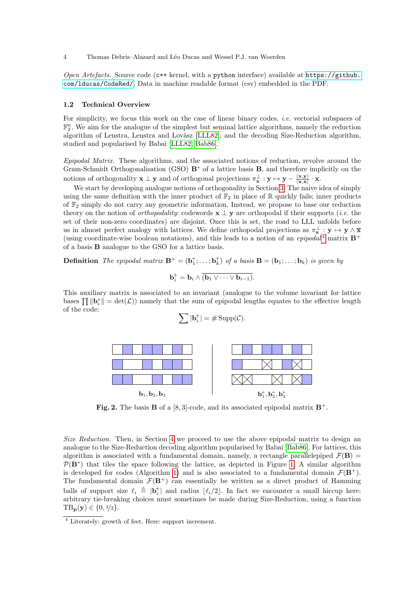Open Artefacts. Source code ( $c++$  kernel, with a python interface) available at  $https://github.$ [com/lducas/CodeRed/](https://github.com/lducas/CodeRed/). Data in machine readable format (csv) embedded in the PDF.

#### 1.2 Technical Overview

For simplicity, we focus this work on the case of linear binary codes, *i.e.* vectorial subspaces of  $\mathbb{F}_2^n$ . We aim for the analogue of the simplest but seminal lattice algorithms, namely the reduction algorithm of Lenstra, Lenstra and Lovàsz [LLL82], and the decoding Size-Reduction algorithm, studied and popularised by Babai [LLL82, Bab86].

Epipodal Matrix. These algorithms, and the associated notions of reduction, revolve around the Gram-Schmidt Orthogonalisation (GSO) B<sup>∗</sup> of a lattice basis B, and therefore implicitly on the notions of orthogonality  $\mathbf{x} \perp \mathbf{y}$  and of orthogonal projections  $\pi_{\mathbf{x}}^{\perp} : \mathbf{y} \mapsto \mathbf{y} - \frac{\langle \mathbf{x}, \mathbf{y} \rangle}{\langle \mathbf{x}, \mathbf{x} \rangle}$  $\frac{\langle \mathbf{x}, \mathbf{y} \rangle}{\langle \mathbf{x}, \mathbf{x} \rangle} \cdot \mathbf{x}.$ 

We start by developing analogue notions of orthogonality in Section 3. The naive idea of simply using the same definition with the inner product of  $\mathbb{F}_2$  in place of R quickly fails; inner products of  $\mathbb{F}_2$  simply do not carry any geometric information. Instead, we propose to base our reduction theory on the notion of *orthopodality*: codewords  $\mathbf{x} \perp \mathbf{y}$  are orthopodal if their supports (*i.e.* the set of their non-zero coordinates) are disjoint. Once this is set, the road to LLL unfolds before us in almost perfect analogy with lattices. We define orthopodal projections as  $\pi_{\mathbf{x}}^{\perp} : \mathbf{y} \mapsto \mathbf{y} \wedge \overline{\mathbf{x}}$ (using coordinate-wise boolean notations), and this leads to a notion of an *epipodal*<sup>4</sup> matrix  $\mathbf{B}^+$ of a basis B analogue to the GSO for a lattice basis.

**Definition** The epipodal matrix  $\mathbf{B}^+ = (\mathbf{b}_1^+; \ldots; \mathbf{b}_k^+)$  of a basis  $\mathbf{B} = (\mathbf{b}_1; \ldots; \mathbf{b}_k)$  is given by

$$
\mathbf{b}_i^+ = \mathbf{b}_i \wedge \overline{(\mathbf{b}_1 \vee \cdots \vee \mathbf{b}_{i-1})}.
$$

This auxiliary matrix is associated to an invariant (analogue to the volume invariant for lattice bases  $\prod ||\mathbf{b}_i^*|| = \det(\mathcal{L})$  namely that the sum of epipodal lengths equates to the effective length of the code:

$$
\sum |\mathbf{b}_{i}^{+}| = \# \operatorname{Supp}(\mathcal{C}).
$$



**Fig. 2.** The basis **B** of a [8, 3]-code, and its associated epipodal matrix  $\mathbf{B}^+$ .

Size Reduction. Then, in Section 4 we proceed to use the above epipodal matrix to design an analogue to the Size-Reduction decoding algorithm popularised by Babai [Bab86]. For lattices, this algorithm is associated with a fundamental domain, namely, a rectangle parallelepiped  $\mathcal{F}(\mathbf{B}) =$  $P(B^*)$  that tiles the space following the lattice, as depicted in Figure 1. A similar algorithm is developed for codes (Algorithm 1) and is also associated to a fundamental domain  $\mathcal{F}(\mathbf{B}^+)$ . The fundamental domain  $\mathcal{F}(\mathbf{B}^+)$  can essentially be written as a direct product of Hamming balls of support size  $\ell_i \triangleq |\mathbf{b}_i^*|$  and radius  $\lfloor \ell_i/2 \rfloor$ . In fact we encounter a small hiccup here: arbitrary tie-breaking choices must sometimes be made during Size-Reduction, using a function  $TB_{p}(y) \in \{0, 1/2\}.$ 

 $\frac{4}{4}$  Literately: growth of feet. Here: support increment.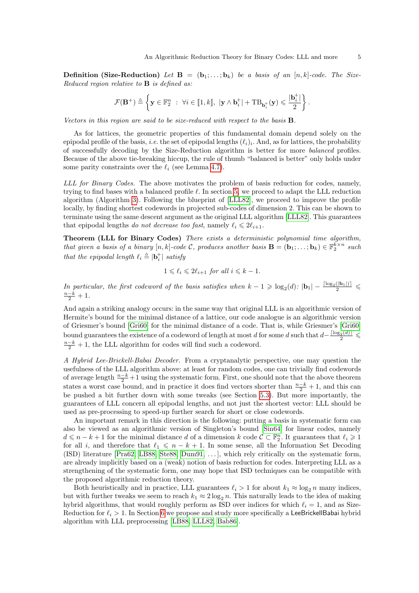**Definition (Size-Reduction)** Let  $\mathbf{B} = (\mathbf{b}_1; \dots; \mathbf{b}_k)$  be a basis of an  $[n, k]$ -code. The Size-Reduced region relative to  $\bf{B}$  is defined as:

$$
\mathcal{F}(\mathbf{B}^+) \triangleq \left\{ \mathbf{y} \in \mathbb{F}_2^n \ : \ \forall i \in [\![1,k]\!], \ |\mathbf{y} \wedge \mathbf{b}_i^+| + \text{TB}_{\mathbf{b}_i^+}(\mathbf{y}) \leqslant \frac{|\mathbf{b}_i^+|}{2} \right\}.
$$

Vectors in this region are said to be size-reduced with respect to the basis B.

As for lattices, the geometric properties of this fundamental domain depend solely on the epipodal profile of the basis, *i.e.* the set of epipodal lengths  $(\ell_i)_i$ . And, as for lattices, the probability of successfully decoding by the Size-Reduction algorithm is better for more balanced profiles. Because of the above tie-breaking hiccup, the rule of thumb "balanced is better" only holds under some parity constraints over the  $\ell_i$  (see Lemma 4.7).

LLL for Binary Codes. The above motivates the problem of basis reduction for codes, namely, trying to find bases with a balanced profile  $\ell$ . In section 5, we proceed to adapt the LLL reduction algorithm (Algorithm 3). Following the blueprint of [LLL82], we proceed to improve the profile locally, by finding shortest codewords in projected sub-codes of dimension 2. This can be shown to terminate using the same descent argument as the original LLL algorithm [LLL82]. This guarantees that epipodal lengths do not decrease too fast, namely  $\ell_i \leq 2\ell_{i+1}$ .

Theorem (LLL for Binary Codes) There exists a deterministic polynomial time algorithm, that given a basis of a binary  $[n, k]$ -code C, produces another basis  $\mathbf{B} = (\mathbf{b}_1; \ldots; \mathbf{b}_k) \in \mathbb{F}_2^{k \times n}$  such that the epipodal length  $\ell_i \triangleq |\mathbf{b}_i^+|$  satisfy

$$
1 \leqslant \ell_i \leqslant 2\ell_{i+1} \text{ for all } i \leqslant k-1.
$$

In particular, the first codeword of the basis satisfies when  $k-1 \geqslant \log_2(d)$ :  $|\mathbf{b}_1| - \frac{\lceil \log_2(|\mathbf{b}_1|) \rceil}{2} \leqslant$  $\frac{n-k}{2}+1$ .

And again a striking analogy occurs: in the same way that original LLL is an algorithmic version of Hermite's bound for the minimal distance of a lattice, our code analogue is an algorithmic version of Griesmer's bound [Gri60] for the minimal distance of a code. That is, while Griesmer's [Gri60] bound guarantees the existence of a codeword of length at most d for some d such that  $d-\frac{\lceil \log_2(d) \rceil}{2} \leq$  $\frac{n-k}{2} + 1$ , the LLL algorithm for codes will find such a codeword.

A Hybrid Lee-Brickell-Babai Decoder. From a cryptanalytic perspective, one may question the usefulness of the LLL algorithm above: at least for random codes, one can trivially find codewords of average length  $\frac{n-k}{2}+1$  using the systematic form. First, one should note that the above theorem states a worst case bound, and in practice it does find vectors shorter than  $\frac{n-k}{2} + 1$ , and this can be pushed a bit further down with some tweaks (see Section 5.3). But more importantly, the guarantees of LLL concern all epipodal lengths, and not just the shortest vector: LLL should be used as pre-processing to speed-up further search for short or close codewords.

An important remark in this direction is the following: putting a basis in systematic form can also be viewed as an algorithmic version of Singleton's bound [Sin64] for linear codes, namely  $d \leq n - k + 1$  for the minimal distance d of a dimension k code  $\mathcal{C} \subset \mathbb{F}_2^n$ . It guarantees that  $\ell_i \geq 1$ for all i, and therefore that  $\ell_1 \leq n - k + 1$ . In some sense, all the Information Set Decoding (ISD) literature [Pra62, LB88, Ste88, Dum91, . . . ], which rely critically on the systematic form, are already implicitly based on a (weak) notion of basis reduction for codes. Interpreting LLL as a strengthening of the systematic form, one may hope that ISD techniques can be compatible with the proposed algorithmic reduction theory.

Both heuristically and in practice, LLL guarantees  $\ell_i > 1$  for about  $k_1 \approx \log_2 n$  many indices, but with further tweaks we seem to reach  $k_1 \approx 2 \log_2 n$ . This naturally leads to the idea of making hybrid algorithms, that would roughly perform as ISD over indices for which  $\ell_i = 1$ , and as Size-Reduction for  $\ell_i > 1$ . In Section 6 we propose and study more specifically a LeeBrickellBabai hybrid algorithm with LLL preprocessing [LB88, LLL82, Bab86].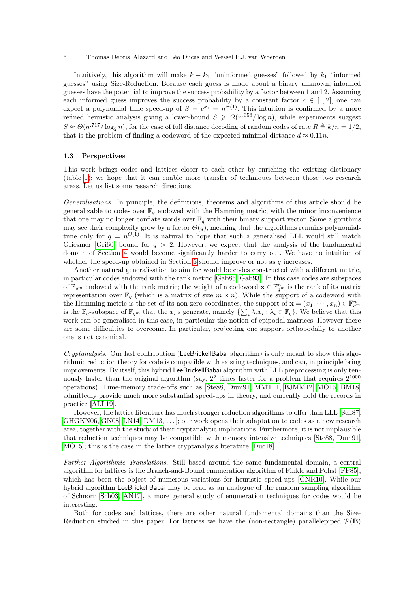Intuitively, this algorithm will make  $k - k_1$  "uninformed guesses" followed by  $k_1$  "informed" guesses" using Size-Reduction. Because each guess is made about a binary unknown, informed guesses have the potential to improve the success probability by a factor between 1 and 2. Assuming each informed guess improves the success probability by a constant factor  $c \in [1,2]$ , one can expect a polynomial time speed-up of  $S = c^{k_1} = n^{\Theta(1)}$ . This intuition is confirmed by a more refined heuristic analysis giving a lower-bound  $S \geq \Omega(n^{358}/\log n)$ , while experiments suggest  $S \approx \Theta(n^{.717}/\log_2 n)$ , for the case of full distance decoding of random codes of rate  $R \triangleq k/n = 1/2$ , that is the problem of finding a codeword of the expected minimal distance  $d \approx 0.11n$ .

#### 1.3 Perspectives

This work brings codes and lattices closer to each other by enriching the existing dictionary (table 1); we hope that it can enable more transfer of techniques between those two research areas. Let us list some research directions.

Generalisations. In principle, the definitions, theorems and algorithms of this article should be generalizable to codes over  $\mathbb{F}_q$  endowed with the Hamming metric, with the minor inconvenience that one may no longer conflate words over  $\mathbb{F}_q$  with their binary support vector. Some algorithms may see their complexity grow by a factor  $\Theta(q)$ , meaning that the algorithms remains polynomialtime only for  $q = n^{O(1)}$ . It is natural to hope that such a generalised LLL would still match Griesmer [Gri60] bound for  $q > 2$ . However, we expect that the analysis of the fundamental domain of Section 4 would become significantly harder to carry out. We have no intuition of whether the speed-up obtained in Section 6 should improve or not as  $q$  increases.

Another natural generalisation to aim for would be codes constructed with a different metric, in particular codes endowed with the rank metric [Gab85, Gab93]. In this case codes are subspaces of  $\mathbb{F}_{q^m}$  endowed with the rank metric; the weight of a codeword  $\mathbf{x} \in \mathbb{F}_{q^m}^n$  is the rank of its matrix representation over  $\mathbb{F}_q$  (which is a matrix of size  $m \times n$ ). While the support of a codeword with the Hamming metric is the set of its non-zero coordinates, the support of  $\mathbf{x} = (x_1, \dots, x_n) \in \mathbb{F}_{q^m}^n$ is the  $\mathbb{F}_q$ -subspace of  $\mathbb{F}_{q^m}$  that the  $x_i$ 's generate, namely  $\{\sum_i \lambda_i x_i : \lambda_i \in \mathbb{F}_q\}$ . We believe that this work can be generalised in this case, in particular the notion of epipodal matrices. However there are some difficulties to overcome. In particular, projecting one support orthopodally to another one is not canonical.

 $Cryntanalysis$ . Our last contribution (LeeBrickellBabai algorithm) is only meant to show this algorithmic reduction theory for code is compatible with existing techniques, and can, in principle bring improvements. By itself, this hybrid LeeBrickellBabai algorithm with LLL preprocessing is only tenuously faster than the original algorithm (say,  $2<sup>2</sup>$  times faster for a problem that requires  $2<sup>1000</sup>$ operations). Time-memory trade-offs such as [Ste88, Dum91, MMT11, BJMM12, MO15, BM18] admittedly provide much more substantial speed-ups in theory, and currently hold the records in practice [ALL19].

However, the lattice literature has much stronger reduction algorithms to offer than LLL [Sch87, GHGKN06, GN08, LN14, DM13, ...  $\vdots$  our work opens their adaptation to codes as a new research area, together with the study of their cryptanalytic implications. Furthermore, it is not implausible that reduction techniques may be compatible with memory intensive techniques [Ste88, Dum91, MO15]; this is the case in the lattice cryptanalysis literature [Duc18].

Further Algorithmic Translations. Still based around the same fundamental domain, a central algorithm for lattices is the Branch-and-Bound enumeration algorithm of Finkle and Pohst [FP85], which has been the object of numerous variations for heuristic speed-ups [GNR10]. While our hybrid algorithm LeeBrickellBabai may be read as an analogue of the random sampling algorithm of Schnorr [Sch03, AN17], a more general study of enumeration techniques for codes would be interesting.

Both for codes and lattices, there are other natural fundamental domains than the Size-Reduction studied in this paper. For lattices we have the (non-rectangle) parallelepiped  $\mathcal{P}(\mathbf{B})$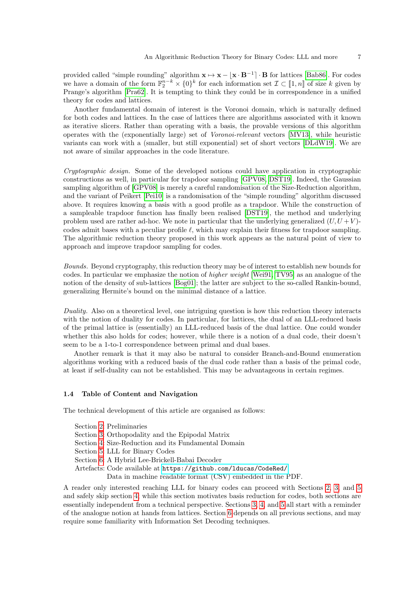provided called "simple rounding" algorithm  $\mathbf{x} \mapsto \mathbf{x} - [\mathbf{x} \cdot \mathbf{B}^{-1}] \cdot \mathbf{B}$  for lattices [Bab86]. For codes we have a domain of the form  $\mathbb{F}_2^{n-k} \times \{0\}^k$  for each information set  $\mathcal{I} \subset [\![1,n]\!]$  of size k given by<br>Prance's also ith  $[\![\text{PreG2}]\!]$ . It is terming to think they could be in correspondence in a unified Prange's algorithm [Pra62]. It is tempting to think they could be in correspondence in a unified theory for codes and lattices.

Another fundamental domain of interest is the Voronoi domain, which is naturally defined for both codes and lattices. In the case of lattices there are algorithms associated with it known as iterative slicers. Rather than operating with a basis, the provable versions of this algorithm operates with the (exponentially large) set of Voronoi-relevant vectors [MV13], while heuristic variants can work with a (smaller, but still exponential) set of short vectors [DLdW19]. We are not aware of similar approaches in the code literature.

Cryptographic design. Some of the developed notions could have application in cryptographic constructions as well, in particular for trapdoor sampling [GPV08, DST19]. Indeed, the Gaussian sampling algorithm of [GPV08] is merely a careful randomisation of the Size-Reduction algorithm, and the variant of Peikert [Pei10] is a randomisation of the "simple rounding" algorithm discussed above. It requires knowing a basis with a good profile as a trapdoor. While the construction of a sampleable trapdoor function has finally been realised [DST19], the method and underlying problem used are rather ad-hoc. We note in particular that the underlying generalized  $(U, U + V)$ codes admit bases with a peculiar profile  $\ell$ , which may explain their fitness for trapdoor sampling. The algorithmic reduction theory proposed in this work appears as the natural point of view to approach and improve trapdoor sampling for codes.

Bounds. Beyond cryptography, this reduction theory may be of interest to establish new bounds for codes. In particular we emphasize the notion of higher weight [Wei91, TV95] as an analogue of the notion of the density of sub-lattices [Bog01]; the latter are subject to the so-called Rankin-bound, generalizing Hermite's bound on the minimal distance of a lattice.

Duality. Also on a theoretical level, one intriguing question is how this reduction theory interacts with the notion of duality for codes. In particular, for lattices, the dual of an LLL-reduced basis of the primal lattice is (essentially) an LLL-reduced basis of the dual lattice. One could wonder whether this also holds for codes; however, while there is a notion of a dual code, their doesn't seem to be a 1-to-1 correspondence between primal and dual bases.

Another remark is that it may also be natural to consider Branch-and-Bound enumeration algorithms working with a reduced basis of the dual code rather than a basis of the primal code, at least if self-duality can not be established. This may be advantageous in certain regimes.

### 1.4 Table of Content and Navigation

The technical development of this article are organised as follows:

- Section 2: Preliminaries
- Section 3: Orthopodality and the Epipodal Matrix
- Section 4: Size-Reduction and its Fundamental Domain
- Section 5: LLL for Binary Codes
- Section 6: A Hybrid Lee-Brickell-Babai Decoder
- Artefacts: Code available at <https://github.com/lducas/CodeRed/>.

Data in machine readable format (CSV) embedded in the PDF.

A reader only interested reaching LLL for binary codes can proceed with Sections 2, 3, and 5 and safely skip section 4; while this section motivates basis reduction for codes, both sections are essentially independent from a technical perspective. Sections 3, 4, and 5 all start with a reminder of the analogue notion at hands from lattices. Section 6 depends on all previous sections, and may require some familiarity with Information Set Decoding techniques.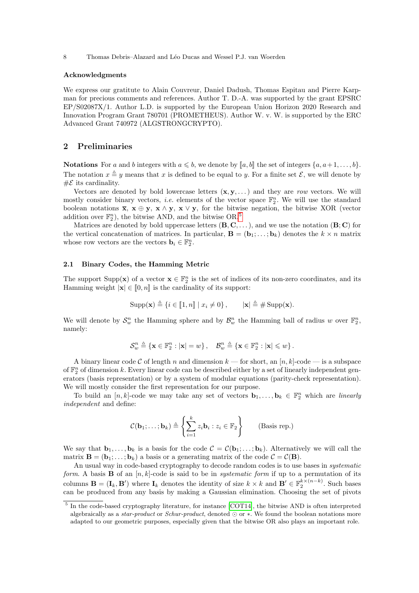### Acknowledgments

We express our gratitute to Alain Couvreur, Daniel Dadush, Thomas Espitau and Pierre Karpman for precious comments and references. Author T. D.-A. was supported by the grant EPSRC EP/S02087X/1. Author L.D. is supported by the European Union Horizon 2020 Research and Innovation Program Grant 780701 (PROMETHEUS). Author W. v. W. is supported by the ERC Advanced Grant 740972 (ALGSTRONGCRYPTO).

### 2 Preliminaries

**Notations** For a and b integers with  $a \leq b$ , we denote by  $[a, b]$  the set of integers  $\{a, a+1, \ldots, b\}$ . The notation  $x \triangleq y$  means that x is defined to be equal to y. For a finite set  $\mathcal{E}$ , we will denote by  $\#\mathcal{E}$  its cardinality.

Vectors are denoted by bold lowercase letters  $(x, y, ...)$  and they are row vectors. We will mostly consider binary vectors, *i.e.* elements of the vector space  $\mathbb{F}_2^n$ . We will use the standard boolean notations  $\overline{\mathbf{x}}, \mathbf{x} \oplus \mathbf{y}, \mathbf{x} \wedge \mathbf{y}, \mathbf{x} \vee \mathbf{y}$ , for the bitwise negation, the bitwise XOR (vector addition over  $\mathbb{F}_2^n$ , the bitwise AND, and the bitwise OR.<sup>5</sup>

Matrices are denoted by bold uppercase letters  $(B, C, \ldots)$ , and we use the notation  $(B, C)$  for the vertical concatenation of matrices. In particular,  $\mathbf{B} = (\mathbf{b}_1; \dots; \mathbf{b}_k)$  denotes the  $k \times n$  matrix whose row vectors are the vectors  $\mathbf{b}_i \in \mathbb{F}_2^n$ .

### 2.1 Binary Codes, the Hamming Metric

The support Supp(**x**) of a vector  $\mathbf{x} \in \mathbb{F}_2^n$  is the set of indices of its non-zero coordinates, and its Hamming weight  $|\mathbf{x}| \in [0, n]$  is the cardinality of its support:

$$
Supp(\mathbf{x}) \triangleq \{i \in [\![1,n]\!]\mid x_i \neq 0\}, \qquad |\mathbf{x}| \triangleq \# \operatorname{Supp}(\mathbf{x}).
$$

We will denote by  $\mathcal{S}_w^n$  the Hamming sphere and by  $\mathcal{B}_w^n$  the Hamming ball of radius w over  $\mathbb{F}_2^n$ , namely:

$$
\mathcal{S}^n_w \triangleq \left\{ \mathbf{x} \in \mathbb{F}_2^n : |\mathbf{x}| = w \right\}, \quad \mathcal{B}^n_w \triangleq \left\{ \mathbf{x} \in \mathbb{F}_2^n : |\mathbf{x}| \leqslant w \right\}.
$$

A binary linear code C of length n and dimension  $k$  — for short, an  $[n, k]$ -code — is a subspace of  $\mathbb{F}_2^n$  of dimension k. Every linear code can be described either by a set of linearly independent generators (basis representation) or by a system of modular equations (parity-check representation). We will mostly consider the first representation for our purpose.

To build an  $[n, k]$ -code we may take any set of vectors  $\mathbf{b}_1, \ldots, \mathbf{b}_k \in \mathbb{F}_2^n$  which are *linearly* independent and define:

$$
\mathcal{C}(\mathbf{b}_1; \ldots; \mathbf{b}_k) \triangleq \left\{ \sum_{i=1}^k z_i \mathbf{b}_i : z_i \in \mathbb{F}_2 \right\} \qquad \text{(Basis rep.)}
$$

We say that  $\mathbf{b}_1, \ldots, \mathbf{b}_k$  is a basis for the code  $\mathcal{C} = \mathcal{C}(\mathbf{b}_1; \ldots; \mathbf{b}_k)$ . Alternatively we will call the matrix  $\mathbf{B} = (\mathbf{b}_1; \ldots; \mathbf{b}_k)$  a basis or a generating matrix of the code  $\mathcal{C} = \mathcal{C}(\mathbf{B})$ .

An usual way in code-based cryptography to decode random codes is to use bases in systematic form. A basis **B** of an  $[n, k]$ -code is said to be in *systematic form* if up to a permutation of its columns  $\mathbf{B} = (\mathbf{I}_k, \mathbf{B}')$  where  $\mathbf{I}_k$  denotes the identity of size  $k \times k$  and  $\mathbf{B}' \in \mathbb{F}_2^{k \times (n-k)}$ . Such bases can be produced from any basis by making a Gaussian elimination. Choosing the set of pivots

<sup>&</sup>lt;sup>5</sup> In the code-based cryptography literature, for instance [COT14], the bitwise AND is often interpreted algebraically as a *star-product* or *Schur-product*, denoted ⊙ or  $\ast$ . We found the boolean notations more adapted to our geometric purposes, especially given that the bitwise OR also plays an important role.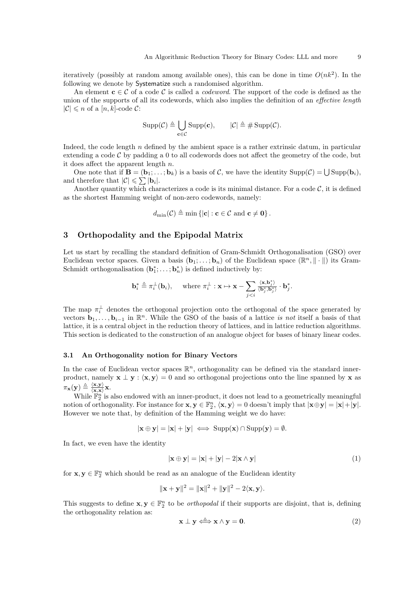iteratively (possibly at random among available ones), this can be done in time  $O(nk^2)$ . In the following we denote by Systematize such a randomised algorithm.

An element  $c \in C$  of a code C is called a *codeword*. The support of the code is defined as the union of the supports of all its codewords, which also implies the definition of an *effective length*  $|\mathcal{C}| \leq n$  of a  $[n, k]$ -code  $\mathcal{C}$ :

$$
\operatorname{Supp}(\mathcal{C}) \triangleq \bigcup_{\mathbf{c} \in \mathcal{C}} \operatorname{Supp}(\mathbf{c}), \qquad |\mathcal{C}| \triangleq \# \operatorname{Supp}(\mathcal{C}).
$$

Indeed, the code length  $n$  defined by the ambient space is a rather extrinsic datum, in particular extending a code  $\mathcal C$  by padding a 0 to all codewords does not affect the geometry of the code, but it does affect the apparent length n.

One note that if  $\mathbf{B} = (\mathbf{b}_1; \ldots; \mathbf{b}_k)$  is a basis of C, we have the identity  $\text{Supp}(\mathcal{C}) = \bigcup \text{Supp}(\mathbf{b}_i)$ , and therefore that  $|\mathcal{C}| \leqslant \sum |\mathbf{b}_i|$ .

Another quantity which characterizes a code is its minimal distance. For a code  $\mathcal{C}$ , it is defined as the shortest Hamming weight of non-zero codewords, namely:

$$
d_{\min}(\mathcal{C}) \triangleq \min \left\{ |\mathbf{c}| : \mathbf{c} \in \mathcal{C} \text{ and } \mathbf{c} \neq \mathbf{0} \right\}.
$$

### 3 Orthopodality and the Epipodal Matrix

Let us start by recalling the standard definition of Gram-Schmidt Orthogonalisation (GSO) over Euclidean vector spaces. Given a basis  $(\mathbf{b}_1; \ldots; \mathbf{b}_n)$  of the Euclidean space  $(\mathbb{R}^n, \|\cdot\|)$  its Gram-Schmidt orthogonalisation  $(\mathbf{b}_1^*, \ldots; \mathbf{b}_n^*)$  is defined inductively by:

$$
\mathbf{b}_{i}^{*} \triangleq \pi_{i}^{\perp}(\mathbf{b}_{i}), \quad \text{ where } \pi_{i}^{\perp} : \mathbf{x} \mapsto \mathbf{x} - \sum_{j
$$

The map  $\pi_i^{\perp}$  denotes the orthogonal projection onto the orthogonal of the space generated by vectors  $\mathbf{b}_1, \ldots, \mathbf{b}_{i-1}$  in  $\mathbb{R}^n$ . While the GSO of the basis of a lattice is not itself a basis of that lattice, it is a central object in the reduction theory of lattices, and in lattice reduction algorithms. This section is dedicated to the construction of an analogue object for bases of binary linear codes.

### 3.1 An Orthogonality notion for Binary Vectors

In the case of Euclidean vector spaces  $\mathbb{R}^n$ , orthogonality can be defined via the standard innerproduct, namely  $\mathbf{x} \perp \mathbf{y} : \langle \mathbf{x}, \mathbf{y} \rangle = 0$  and so orthogonal projections onto the line spanned by x as  $\pi_{\mathbf{x}}(\mathbf{y}) \triangleq \frac{\langle \mathbf{x}, \mathbf{y} \rangle}{\langle \mathbf{x}, \mathbf{x} \rangle}$  $\frac{\langle \mathbf{x}, \mathbf{y} \rangle}{\langle \mathbf{x}, \mathbf{x} \rangle} \mathbf{x}.$ 

While  $\mathbb{F}_2^n$  is also endowed with an inner-product, it does not lead to a geometrically meaningful notion of orthogonality. For instance for  $\mathbf{x}, \mathbf{y} \in \mathbb{F}_2^n$ ,  $\langle \mathbf{x}, \mathbf{y} \rangle = 0$  doesn't imply that  $|\mathbf{x} \oplus \mathbf{y}| = |\mathbf{x}| + |\mathbf{y}|$ . However we note that, by definition of the Hamming weight we do have:

$$
|\mathbf{x} \oplus \mathbf{y}| = |\mathbf{x}| + |\mathbf{y}| \iff \text{Supp}(\mathbf{x}) \cap \text{Supp}(\mathbf{y}) = \emptyset.
$$

In fact, we even have the identity

$$
|\mathbf{x} \oplus \mathbf{y}| = |\mathbf{x}| + |\mathbf{y}| - 2|\mathbf{x} \wedge \mathbf{y}| \tag{1}
$$

for  $\mathbf{x}, \mathbf{y} \in \mathbb{F}_2^n$  which should be read as an analogue of the Euclidean identity

$$
\|\mathbf{x} + \mathbf{y}\|^2 = \|\mathbf{x}\|^2 + \|\mathbf{y}\|^2 - 2\langle \mathbf{x}, \mathbf{y} \rangle.
$$

This suggests to define  $\mathbf{x}, \mathbf{y} \in \mathbb{F}_2^n$  to be *orthopodal* if their supports are disjoint, that is, defining the orthogonality relation as:

$$
\mathbf{x} \perp \mathbf{y} \Longleftrightarrow \mathbf{x} \wedge \mathbf{y} = \mathbf{0}.\tag{2}
$$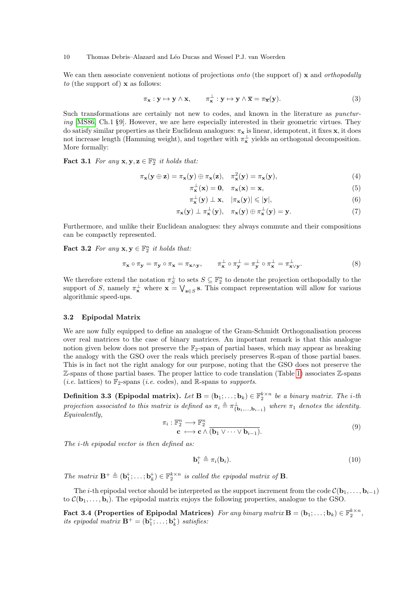We can then associate convenient notions of projections *onto* (the support of)  $\bf{x}$  and *orthopodally* to (the support of)  $x$  as follows:

$$
\pi_{\mathbf{x}} : \mathbf{y} \mapsto \mathbf{y} \wedge \mathbf{x}, \qquad \pi_{\mathbf{x}}^{\perp} : \mathbf{y} \mapsto \mathbf{y} \wedge \overline{\mathbf{x}} = \pi_{\overline{\mathbf{x}}}(\mathbf{y}). \tag{3}
$$

Such transformations are certainly not new to codes, and known in the literature as *punctur* $ing$  [MS86, Ch.1 §9]. However, we are here especially interested in their geometric virtues. They do satisfy similar properties as their Euclidean analogues:  $\pi_{\mathbf{x}}$  is linear, idempotent, it fixes  $\mathbf{x}$ , it does not increase length (Hamming weight), and together with  $\pi_{\mathbf{x}}^{\perp}$  yields an orthogonal decomposition. More formally:

**Fact 3.1** For any  $\mathbf{x}, \mathbf{y}, \mathbf{z} \in \mathbb{F}_2^n$  it holds that:

$$
\pi_{\mathbf{x}}(\mathbf{y} \oplus \mathbf{z}) = \pi_{\mathbf{x}}(\mathbf{y}) \oplus \pi_{\mathbf{x}}(\mathbf{z}), \quad \pi_{\mathbf{x}}^2(\mathbf{y}) = \pi_{\mathbf{x}}(\mathbf{y}), \tag{4}
$$

$$
\pi_{\mathbf{x}}^{\perp}(\mathbf{x}) = \mathbf{0}, \quad \pi_{\mathbf{x}}(\mathbf{x}) = \mathbf{x}, \tag{5}
$$

$$
\pi_{\mathbf{x}}^{\perp}(\mathbf{y}) \perp \mathbf{x}, \quad |\pi_{\mathbf{x}}(\mathbf{y})| \leqslant |\mathbf{y}|,\tag{6}
$$

$$
\pi_{\mathbf{x}}(\mathbf{y}) \perp \pi_{\mathbf{x}}^{\perp}(\mathbf{y}), \quad \pi_{\mathbf{x}}(\mathbf{y}) \oplus \pi_{\mathbf{x}}^{\perp}(\mathbf{y}) = \mathbf{y}.\tag{7}
$$

Furthermore, and unlike their Euclidean analogues: they always commute and their compositions can be compactly represented.

**Fact 3.2** For any  $\mathbf{x}, \mathbf{y} \in \mathbb{F}_2^n$  it holds that:

$$
\pi_{\mathbf{x}} \circ \pi_{\mathbf{y}} = \pi_{\mathbf{y}} \circ \pi_{\mathbf{x}} = \pi_{\mathbf{x} \wedge \mathbf{y}}, \qquad \pi_{\mathbf{x}}^{\perp} \circ \pi_{\mathbf{y}}^{\perp} = \pi_{\mathbf{y}}^{\perp} \circ \pi_{\mathbf{x}}^{\perp} = \pi_{\mathbf{x} \vee \mathbf{y}}^{\perp}.
$$
 (8)

We therefore extend the notation  $\pi_S^{\perp}$  to sets  $S \subseteq \mathbb{F}_2^n$  to denote the projection orthopodally to the support of S, namely  $\pi_{\mathbf{x}}^{\perp}$  where  $\mathbf{x} = \bigvee_{\mathbf{s} \in S} \mathbf{s}$ . This compact representation will allow for various algorithmic speed-ups.

#### 3.2 Epipodal Matrix

We are now fully equipped to define an analogue of the Gram-Schmidt Orthogonalisation process over real matrices to the case of binary matrices. An important remark is that this analogue notion given below does not preserve the  $\mathbb{F}_2$ -span of partial bases, which may appear as breaking the analogy with the GSO over the reals which precisely preserves R-span of those partial bases. This is in fact not the right analogy for our purpose, noting that the GSO does not preserve the Z-spans of those partial bases. The proper lattice to code translation (Table 1) associates Z-spans (*i.e.* lattices) to  $\mathbb{F}_2$ -spans (*i.e.* codes), and R-spans to *supports*.

**Definition 3.3 (Epipodal matrix).** Let  $\mathbf{B} = (\mathbf{b}_1; \ldots; \mathbf{b}_k) \in \mathbb{F}_2^{k \times n}$  be a binary matrix. The *i*-th projection associated to this matrix is defined as  $\pi_i \triangleq \pi_{\{\mathbf{b}_1,\dots,\mathbf{b}_{i-1}\}}^{\perp}$  where  $\pi_1$  denotes the identity. Equivalently,

$$
\pi_i: \mathbb{F}_2^n \longrightarrow \mathbb{F}_2^n
$$
  

$$
\mathbf{c} \longmapsto \mathbf{c} \wedge (\mathbf{b}_1 \vee \cdots \vee \mathbf{b}_{i-1}).
$$
  
(9)

The *i*-th epipodal vector is then defined as:

$$
\mathbf{b}_i^+ \triangleq \pi_i(\mathbf{b}_i). \tag{10}
$$

The matrix  $\mathbf{B}^+ \triangleq (\mathbf{b}_1^+; \ldots; \mathbf{b}_k^+) \in \mathbb{F}_2^{k \times n}$  is called the epipodal matrix of **B**.

The i-th epipodal vector should be interpreted as the support increment from the code  $\mathcal{C}(\mathbf{b}_1, \dots, \mathbf{b}_{i-1})$ to  $\mathcal{C}(\mathbf{b}_1,\ldots,\mathbf{b}_i)$ . The epipodal matrix enjoys the following properties, analogue to the GSO.

Fact 3.4 (Properties of Epipodal Matrices) For any binary matrix  $\mathbf{B} = (\mathbf{b}_1; \ldots; \mathbf{b}_k) \in \mathbb{F}_2^{k \times n}$ , its epipodal matrix  $\mathbf{B}^+ = (\mathbf{b}_1^+; \dots; \mathbf{b}_k^+)$  satisfies: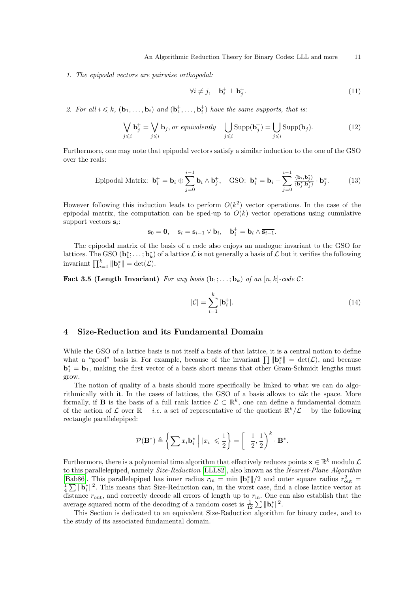1. The epipodal vectors are pairwise orthopodal:

$$
\forall i \neq j, \quad \mathbf{b}_i^+ \perp \mathbf{b}_j^+.
$$
 (11)

2. For all  $i \leq k$ ,  $(\mathbf{b}_1, \ldots, \mathbf{b}_i)$  and  $(\mathbf{b}_1^+, \ldots, \mathbf{b}_i^+)$  have the same supports, that is:

$$
\bigvee_{j \leq i} \mathbf{b}_{j}^{+} = \bigvee_{j \leq i} \mathbf{b}_{j}, or \; \text{equivalently} \quad \bigcup_{j \leq i} \text{Supp}(\mathbf{b}_{j}^{+}) = \bigcup_{j \leq i} \text{Supp}(\mathbf{b}_{j}).\tag{12}
$$

Furthermore, one may note that epipodal vectors satisfy a similar induction to the one of the GSO over the reals:

Epipodal Matrix: 
$$
\mathbf{b}_i^+ = \mathbf{b}_i \oplus \sum_{j=0}^{i-1} \mathbf{b}_i \wedge \mathbf{b}_j^+, \quad \text{GSO: } \mathbf{b}_i^* = \mathbf{b}_i - \sum_{j=0}^{i-1} \frac{\langle \mathbf{b}_i, \mathbf{b}_j^* \rangle}{\langle \mathbf{b}_j^*, \mathbf{b}_j^* \rangle} \cdot \mathbf{b}_j^*. \tag{13}
$$

However following this induction leads to perform  $O(k^2)$  vector operations. In the case of the epipodal matrix, the computation can be sped-up to  $O(k)$  vector operations using cumulative support vectors  $s_i$ :

$$
\mathbf{s}_0 = \mathbf{0}, \quad \mathbf{s}_i = \mathbf{s}_{i-1} \vee \mathbf{b}_i, \quad \mathbf{b}_i^+ = \mathbf{b}_i \wedge \overline{\mathbf{s}_{i-1}}.
$$

The epipodal matrix of the basis of a code also enjoys an analogue invariant to the GSO for lattices. The GSO  $(\mathbf{b}_1^*,\ldots;\mathbf{b}_k^*)$  of a lattice  $\mathcal L$  is not generally a basis of  $\mathcal L$  but it verifies the following invariant  $\prod_{i=1}^{k} \|\mathbf{b}_{i}^{*}\| = \det(\mathcal{L}).$ 

Fact 3.5 (Length Invariant) For any basis  $(b_1; \ldots; b_k)$  of an  $[n, k]$ -code C:

$$
|\mathcal{C}| = \sum_{i=1}^{k} |\mathbf{b}_i^+|.\tag{14}
$$

### 4 Size-Reduction and its Fundamental Domain

While the GSO of a lattice basis is not itself a basis of that lattice, it is a central notion to define what a "good" basis is. For example, because of the invariant  $\prod ||\mathbf{b}_i^*|| = \det(\mathcal{L})$ , and because  $\mathbf{b}_1^* = \mathbf{b}_1$ , making the first vector of a basis short means that other Gram-Schmidt lengths must grow.

The notion of quality of a basis should more specifically be linked to what we can do algorithmically with it. In the cases of lattices, the GSO of a basis allows to tile the space. More formally, if **B** is the basis of a full rank lattice  $\mathcal{L} \subset \mathbb{R}^k$ , one can define a fundamental domain of the action of L over  $\mathbb{R} - i.e.$  a set of representative of the quotient  $\mathbb{R}^k/\mathcal{L}$  by the following rectangle parallelepiped:

$$
\mathcal{P}(\mathbf{B}^*) \triangleq \left\{ \sum x_i \mathbf{b}_i^* \middle| |x_i| \leqslant \frac{1}{2} \right\} = \left[ -\frac{1}{2}, \frac{1}{2} \right)^k \cdot \mathbf{B}^*.
$$

Furthermore, there is a polynomial time algorithm that effectively reduces points  $\mathbf{x} \in \mathbb{R}^k$  modulo  $\mathcal{L}$ to this parallelepiped, namely Size-Reduction [LLL82], also known as the Nearest-Plane Algorithm [Bab86]. This parallelepiped has inner radius  $r_{\text{in}} = \min ||\mathbf{b}_{i}^{*}||/2$  and outer square radius  $r_{\text{out}}^2 = \frac{1}{4} \sum ||\mathbf{b}_{i}^{*}||^2$ . This means that Size-Reduction can, in the worst case, find a close lattice vector at distance  $r_{\text{out}}$ , and correctly decode all errors of length up to  $r_{\text{in}}$ . One can also establish that the average squared norm of the decoding of a random coset is  $\frac{1}{12} \sum ||\mathbf{b}_i^*||^2$ .

This Section is dedicated to an equivalent Size-Reduction algorithm for binary codes, and to the study of its associated fundamental domain.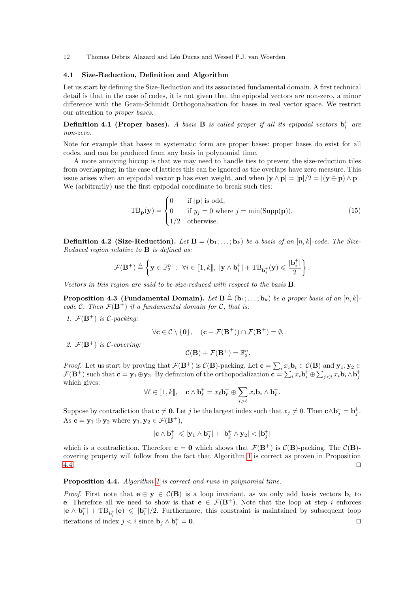### 4.1 Size-Reduction, Definition and Algorithm

Let us start by defining the Size-Reduction and its associated fundamental domain. A first technical detail is that in the case of codes, it is not given that the epipodal vectors are non-zero, a minor difference with the Gram-Schmidt Orthogonalisation for bases in real vector space. We restrict our attention to proper bases.

### **Definition 4.1 (Proper bases).** A basis **B** is called proper if all its epipodal vectors  $\mathbf{b}_i^+$  are non-zero.

Note for example that bases in systematic form are proper bases: proper bases do exist for all codes, and can be produced from any basis in polynomial time.

A more annoying hiccup is that we may need to handle ties to prevent the size-reduction tiles from overlapping; in the case of lattices this can be ignored as the overlaps have zero measure. This issue arises when an epipodal vector **p** has even weight, and when  $|\mathbf{y} \wedge \mathbf{p}| = |\mathbf{p}|/2 = |(\mathbf{y} \oplus \mathbf{p}) \wedge \mathbf{p}|$ . We (arbitrarily) use the first epipodal coordinate to break such ties:

$$
TB_{\mathbf{p}}(\mathbf{y}) = \begin{cases} 0 & \text{if } |\mathbf{p}| \text{ is odd,} \\ 0 & \text{if } y_j = 0 \text{ where } j = \min(\text{Supp}(\mathbf{p})), \\ 1/2 & \text{otherwise.} \end{cases}
$$
(15)

**Definition 4.2 (Size-Reduction).** Let  $\mathbf{B} = (\mathbf{b}_1; \ldots; \mathbf{b}_k)$  be a basis of an  $[n, k]$ -code. The Size-Reduced region relative to **B** is defined as:

$$
\mathcal{F}(\mathbf{B}^+) \triangleq \left\{ \mathbf{y} \in \mathbb{F}_2^n \ : \ \forall i \in [\![1,k]\!], \ |\mathbf{y} \wedge \mathbf{b}_i^+| + \text{TB}_{\mathbf{b}_i^+}(\mathbf{y}) \leqslant \frac{|\mathbf{b}_i^+|}{2} \right\}.
$$

Vectors in this region are said to be size-reduced with respect to the basis B.

**Proposition 4.3 (Fundamental Domain).** Let  $\mathbf{B} \triangleq (\mathbf{b}_1; \ldots; \mathbf{b}_k)$  be a proper basis of an  $[n, k]$ . code C. Then  $\mathcal{F}(\mathbf{B}^+)$  if a fundamental domain for C, that is:

1.  $\mathcal{F}(\mathbf{B}^+)$  is C-packing:

$$
\forall \mathbf{c} \in \mathcal{C} \setminus \{\mathbf{0}\}, \quad (\mathbf{c} + \mathcal{F}(\mathbf{B}^+)) \cap \mathcal{F}(\mathbf{B}^+) = \emptyset,
$$

2.  $\mathcal{F}(\mathbf{B}^+)$  is C-covering:

$$
\mathcal{C}(\mathbf{B}) + \mathcal{F}(\mathbf{B}^+) = \mathbb{F}_2^n.
$$

*Proof.* Let us start by proving that  $\mathcal{F}(\mathbf{B}^+)$  is  $\mathcal{C}(\mathbf{B})$ -packing. Let  $\mathbf{c} = \sum_i x_i \mathbf{b}_i \in \mathcal{C}(\mathbf{B})$  and  $\mathbf{y}_1, \mathbf{y}_2 \in$  $\mathcal{F}(\mathbf{B}^+)$  such that  $\mathbf{c} = \mathbf{y}_1 \oplus \mathbf{y}_2$ . By definition of the orthopodalization  $\mathbf{c} = \sum_i x_i \mathbf{b}_i^{\dagger} \oplus \sum_{j$ which gives:

$$
\forall \ell \in [\![1,k]\!], \quad \mathbf{c} \wedge \mathbf{b}_{\ell}^{+} = x_{\ell} \mathbf{b}_{\ell}^{+} \oplus \sum_{i > \ell} x_{i} \mathbf{b}_{i} \wedge \mathbf{b}_{\ell}^{+}.
$$

Suppose by contradiction that  $c \neq 0$ . Let j be the largest index such that  $x_j \neq 0$ . Then  $c \wedge b_j^+ = b_j^+$ . As  $\mathbf{c} = \mathbf{y}_1 \oplus \mathbf{y}_2$  where  $\mathbf{y}_1, \mathbf{y}_2 \in \mathcal{F}(\mathbf{B}^+),$ 

$$
|\mathbf{c} \wedge \mathbf{b}_j^+| \leqslant |\mathbf{y}_1 \wedge \mathbf{b}_j^+| + |\mathbf{b}_j^+ \wedge \mathbf{y}_2| < |\mathbf{b}_j^+|
$$

which is a contradiction. Therefore  $c = 0$  which shows that  $\mathcal{F}(B^+)$  is  $\mathcal{C}(B)$ -packing. The  $\mathcal{C}(B)$ covering property will follow from the fact that Algorithm 1 is correct as proven in Proposition  $4.4.$ 

### Proposition 4.4. Algorithm 1 is correct and runs in polynomial time.

*Proof.* First note that  $e \oplus y \in C(B)$  is a loop invariant, as we only add basis vectors  $b_i$  to e. Therefore all we need to show is that  $e \in \mathcal{F}(\mathbf{B}^+)$ . Note that the loop at step i enforces  $|\mathbf{e} \wedge \mathbf{b}_i^+| + \text{TB}_{\mathbf{b}_i^+}(\mathbf{e}) \leqslant |\mathbf{b}_i^+|/2$ . Furthermore, this constraint is maintained by subsequent loop iterations of index  $j < i$  since  $\mathbf{b}_j \wedge \mathbf{b}_i^+$  $\alpha_i^+ = 0.$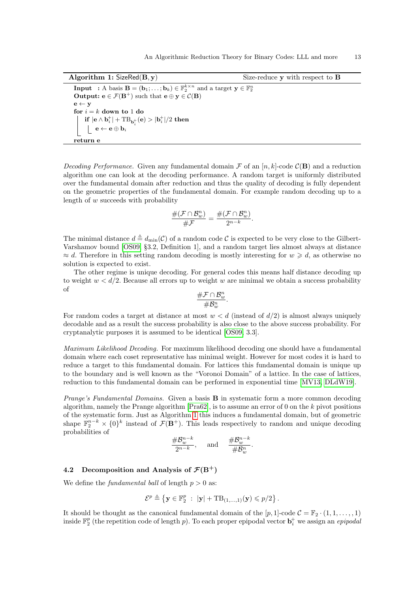Algorithm 1: SizeRed $(B, y)$  Size-reduce y with respect to B **Input** : A basis **B** =  $(\mathbf{b}_1; \ldots; \mathbf{b}_k) \in \mathbb{F}_2^{k \times n}$  and a target  $\mathbf{y} \in \mathbb{F}_2^n$ **Output:**  $e \in \mathcal{F}(\mathbf{B}^+)$  such that  $e \oplus y \in \mathcal{C}(\mathbf{B})$  $\mathbf{e} \leftarrow \mathbf{y}$ for  $i = k$  down to 1 do  $\textbf{if} \; |\mathbf{e} \wedge \mathbf{b}^{+}_i | + \textbf{TB}_{\mathbf{b}^{+}_i}(\mathbf{e}) > |\mathbf{b}^{+}_i|/2 \; \textbf{then}$  $\mathbf{e} \leftarrow \mathbf{e} \oplus \mathbf{b}_i$ return e

Decoding Performance. Given any fundamental domain  $\mathcal F$  of an  $[n, k]$ -code  $\mathcal C(\mathbf B)$  and a reduction algorithm one can look at the decoding performance. A random target is uniformly distributed over the fundamental domain after reduction and thus the quality of decoding is fully dependent on the geometric properties of the fundamental domain. For example random decoding up to a length of w succeeds with probability

$$
\frac{\#(\mathcal{F}\cap\mathcal{B}_w^n)}{\#\mathcal{F}}=\frac{\#(\mathcal{F}\cap\mathcal{B}_w^n)}{2^{n-k}}.
$$

The minimal distance  $d \triangleq d_{\min}(\mathcal{C})$  of a random code  $\mathcal C$  is expected to be very close to the Gilbert-Varshamov bound [OS09, §3.2, Definition 1], and a random target lies almost always at distance  $\approx d$ . Therefore in this setting random decoding is mostly interesting for  $w \geq d$ , as otherwise no solution is expected to exist.

The other regime is unique decoding. For general codes this means half distance decoding up to weight  $w < d/2$ . Because all errors up to weight w are minimal we obtain a success probability of

$$
\frac{\# \mathcal{F} \cap \mathcal{B}^n_w}{\#\mathcal{B}^n_w}.
$$

For random codes a target at distance at most  $w < d$  (instead of  $d/2$ ) is almost always uniquely decodable and as a result the success probability is also close to the above success probability. For cryptanalytic purposes it is assumed to be identical [OS09, 3.3].

Maximum Likelihood Decoding. For maximum likelihood decoding one should have a fundamental domain where each coset representative has minimal weight. However for most codes it is hard to reduce a target to this fundamental domain. For lattices this fundamental domain is unique up to the boundary and is well known as the "Voronoi Domain" of a lattice. In the case of lattices, reduction to this fundamental domain can be performed in exponential time [MV13, DLdW19].

Prange's Fundamental Domains. Given a basis **B** in systematic form a more common decoding algorithm, namely the Prange algorithm  $[Pra62]$ , is to assume an error of 0 on the k pivot positions of the systematic form. Just as Algorithm 1 this induces a fundamental domain, but of geometric shape  $\mathbb{F}_2^{n-k} \times \{0\}^k$  instead of  $\mathcal{F}(\mathbf{B}^+)$ . This leads respectively to random and unique decoding probabilities of

$$
\frac{\# \mathcal{B}^{n-k}_w}{2^{n-k}}, \quad \text{and} \quad \frac{\# \mathcal{B}^{n-k}_w}{\# \mathcal{B}^n_w}.
$$

### 4.2 Decomposition and Analysis of  $\mathcal{F}(B^+)$

We define the *fundamental ball* of length  $p > 0$  as:

$$
\mathcal{E}^p \triangleq \left\{ \mathbf{y} \in \mathbb{F}_2^p \; : \; |\mathbf{y}| + \mathrm{TB}_{(1,\ldots,1)}(\mathbf{y}) \leqslant p/2 \right\}.
$$

It should be thought as the canonical fundamental domain of the  $[p, 1]$ -code  $\mathcal{C} = \mathbb{F}_2 \cdot (1, 1, \ldots, 1)$ inside  $\mathbb{F}_2^p$  (the repetition code of length p). To each proper epipodal vector  $\mathbf{b}_i^+$  we assign an *epipodal*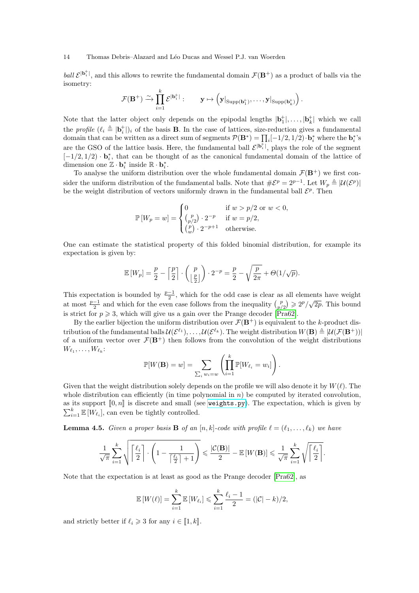ball  $\mathcal{E}^{|\mathbf{b}_i^+|}$ , and this allows to rewrite the fundamental domain  $\mathcal{F}(\mathbf{B}^+)$  as a product of balls via the isometry:

$$
\mathcal{F}(\mathbf{B}^+) \xrightarrow{\sim} \prod_{i=1}^k \mathcal{E}^{|\mathbf{b}^+_i|}: \qquad \mathbf{y} \mapsto \left(\mathbf{y}|_{\mathrm{Supp}(\mathbf{b}^+_1)}, \ldots, \mathbf{y}|_{\mathrm{Supp}(\mathbf{b}^+_k)}\right).
$$

Note that the latter object only depends on the epipodal lengths  $|\mathbf{b}_1^+|,\ldots,|\mathbf{b}_k^+|$  which we call the profile  $(\ell_i \triangleq |\mathbf{b}_i^+|)_i$  of the basis **B**. In the case of lattices, size-reduction gives a fundamental domain that can be written as a direct sum of segments  $\mathcal{P}(\mathbf{B}^*) = \prod_i [-1/2, 1/2) \cdot \mathbf{b}_i^*$  where the  $\mathbf{b}_i^*$ 's are the GSO of the lattice basis. Here, the fundamental ball  $\mathcal{E}^{|\mathbf{b}_i^+|}$ , plays the role of the segment  $[-1/2, 1/2) \cdot \mathbf{b}_i^*$ , that can be thought of as the canonical fundamental domain of the lattice of dimension one  $\mathbb{Z} \cdot \mathbf{b}_i^*$  inside  $\mathbb{R} \cdot \mathbf{b}_i^*$ .

To analyse the uniform distribution over the whole fundamental domain  $\mathcal{F}(\mathbf{B}^+)$  we first consider the uniform distribution of the fundamental balls. Note that  $\#\mathcal{E}^p = 2^{p-1}$ . Let  $W_p \triangleq |\mathcal{U}(\mathcal{E}^p)|$ be the weight distribution of vectors uniformly drawn in the fundamental ball  $\mathcal{E}^p$ . Then

$$
\mathbb{P}\left[W_p = w\right] = \begin{cases} 0 & \text{if } w > p/2 \text{ or } w < 0, \\ \binom{p}{p/2} \cdot 2^{-p} & \text{if } w = p/2, \\ \binom{p}{w} \cdot 2^{-p+1} & \text{otherwise.} \end{cases}
$$

One can estimate the statistical property of this folded binomial distribution, for example its expectation is given by:

$$
\mathbb{E}\left[W_p\right] = \frac{p}{2} - \left\lceil \frac{p}{2} \right\rceil \cdot \binom{p}{\left\lfloor \frac{p}{2} \right\rfloor} \cdot 2^{-p} = \frac{p}{2} - \sqrt{\frac{p}{2\pi}} + \Theta(1/\sqrt{p}).
$$

This expectation is bounded by  $\frac{p-1}{2}$ , which for the odd case is clear as all elements have weight at most  $\frac{p-1}{2}$  and which for the even case follows from the inequality  $\binom{p}{p/2} \geqslant 2^p/\sqrt{2p}$ . This bound is strict for  $p \ge 3$ , which will give us a gain over the Prange decoder [Pra62].

By the earlier bijection the uniform distribution over  $\mathcal{F}(\mathbf{B}^+)$  is equivalent to the k-product distribution of the fundamental balls  $\mathcal{U}(\mathcal{E}^{\ell_1}),\ldots,\mathcal{U}(\mathcal{E}^{\ell_k})$ . The weight distribution  $W(\mathbf{B}) \triangleq |\mathcal{U}(\mathcal{F}(\mathbf{B}^+))|$ of a uniform vector over  $\mathcal{F}(\mathbf{B}^+)$  then follows from the convolution of the weight distributions  $W_{\ell_1}, \ldots, W_{\ell_k}$ :

$$
\mathbb{P}[W(\mathbf{B}) = w] = \sum_{\sum_i w_i = w} \left( \prod_{i=1}^k \mathbb{P}[W_{\ell_i} = w_i] \right).
$$

Given that the weight distribution solely depends on the profile we will also denote it by  $W(\ell)$ . The whole distribution can efficiently (in time polynomial in  $n$ ) be computed by iterated convolution, as its support  $[0, n]$  is discrete and small (see [weights.py](https://github.com/lducas/CodeRed/blob/master/weights.py)). The expectation, which is given by  $\sum_{i=1}^{k} \mathbb{E}[W_{\ell_i}]$ , can even be tightly controlled.

**Lemma 4.5.** Given a proper basis **B** of an  $[n, k]$ -code with profile  $\ell = (\ell_1, \ldots, \ell_k)$  we have

$$
\frac{1}{\sqrt{\pi}}\sum_{i=1}^k\sqrt{\left\lceil\frac{\ell_i}{2}\right\rceil\cdot\left(1-\frac{1}{\left\lceil\frac{\ell_i}{2}\right\rceil+1}\right)} \leqslant \frac{|\mathcal{C}(\mathbf{B})|}{2} - \mathbb{E}\left[W(\mathbf{B})\right] \leqslant \frac{1}{\sqrt{\pi}}\sum_{i=1}^k\sqrt{\left\lceil\frac{\ell_i}{2}\right\rceil}.
$$

Note that the expectation is at least as good as the Prange decoder [Pra62], as

$$
\mathbb{E}[W(\ell)] = \sum_{i=1}^{k} \mathbb{E}[W_{\ell_i}] \le \sum_{i=1}^{k} \frac{\ell_i - 1}{2} = (|\mathcal{C}| - k)/2,
$$

and strictly better if  $\ell_i \geq 3$  for any  $i \in [1, k]$ .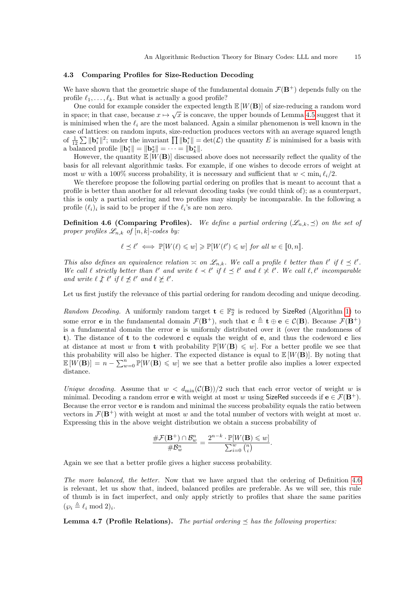### 4.3 Comparing Profiles for Size-Reduction Decoding

We have shown that the geometric shape of the fundamental domain  $\mathcal{F}(\mathbf{B}^+)$  depends fully on the profile  $\ell_1, \ldots, \ell_k$ . But what is actually a good profile?

One could for example consider the expected length  $\mathbb{E}[W(\mathbf{B})]$  of size-reducing a random word in space; in that case, because  $x \mapsto \sqrt{x}$  is concave, the upper bounds of Lemma 4.5 suggest that it is minimised when the  $\ell_i$  are the most balanced. Again a similar phenomenon is well known in the case of lattices: on random inputs, size-reduction produces vectors with an average squared length of  $\frac{1}{12}\sum ||\mathbf{b}_i^*||^2$ ; under the invariant  $\prod ||\mathbf{b}_i^*|| = \det(\mathcal{L})$  the quantity E is minimised for a basis with a balanced profile  $\|\mathbf{b}_1^*\| = \|\mathbf{b}_2^*\| = \cdots = \|\mathbf{b}_k^*\|.$ 

However, the quantity  $\mathbb{E}[W(\mathbf{B})]$  discussed above does not necessarily reflect the quality of the basis for all relevant algorithmic tasks. For example, if one wishes to decode errors of weight at most w with a 100% success probability, it is necessary and sufficient that  $w < \min_i \ell_i/2$ .

We therefore propose the following partial ordering on profiles that is meant to account that a profile is better than another for all relevant decoding tasks (we could think of); as a counterpart, this is only a partial ordering and two profiles may simply be incomparable. In the following a profile  $(\ell_i)_i$  is said to be proper if the  $\ell_i$ 's are non zero.

**Definition 4.6 (Comparing Profiles).** We define a partial ordering  $(\mathscr{L}_{n,k}, \preceq)$  on the set of proper profiles  $\mathscr{L}_{n,k}$  of  $[n,k]$ -codes by:

$$
\ell \preceq \ell' \iff \mathbb{P}[W(\ell) \leq w] \geq \mathbb{P}[W(\ell') \leq w] \text{ for all } w \in [0, n].
$$

This also defines an equivalence relation  $\asymp$  on  $\mathscr{L}_{n,k}$ . We call a profile  $\ell$  better than  $\ell'$  if  $\ell \preceq \ell'$ . We call  $\ell$  strictly better than  $\ell'$  and write  $\ell \prec \ell'$  if  $\ell \preceq \ell'$  and  $\ell \not\prec \ell'$ . We call  $\ell, \ell'$  incomparable and write  $\ell \not\equiv \ell'$  if  $\ell \not\preceq \ell'$  and  $\ell \not\succeq \ell'$ .

Let us first justify the relevance of this partial ordering for random decoding and unique decoding.

Random Decoding. A uniformly random target  $\mathbf{t} \in \mathbb{F}_2^n$  is reduced by SizeRed (Algorithm 1) to some error **e** in the fundamental domain  $\mathcal{F}(\mathbf{B}^+)$ , such that  $\mathbf{c} \triangleq \mathbf{t} \oplus \mathbf{e} \in \mathcal{C}(\mathbf{B})$ . Because  $\mathcal{F}(\mathbf{B}^+)$ is a fundamental domain the error e is uniformly distributed over it (over the randomness of t). The distance of t to the codeword c equals the weight of e, and thus the codeword c lies at distance at most w from **t** with probability  $\mathbb{P}[W(\mathbf{B}) \leq w]$ . For a better profile we see that this probability will also be higher. The expected distance is equal to  $\mathbb{E}[W(\mathbf{B})]$ . By noting that  $\mathbb{E}[W(\mathbf{B})] = n - \sum_{w=0}^{n} \mathbb{P}[W(\mathbf{B}) \leq w]$  we see that a better profile also implies a lower expected distance.

Unique decoding. Assume that  $w < d_{\min}(\mathcal{C}(\mathbf{B}))/2$  such that each error vector of weight w is minimal. Decoding a random error **e** with weight at most w using SizeRed succeeds if  $e \in \mathcal{F}(B^+)$ . Because the error vector e is random and minimal the success probability equals the ratio between vectors in  $\mathcal{F}(\mathbf{B}^+)$  with weight at most w and the total number of vectors with weight at most w. Expressing this in the above weight distribution we obtain a success probability of

$$
\frac{\# \mathcal{F}(\mathbf{B}^+) \cap \mathcal{B}_w^n}{\# \mathcal{B}_w^n} = \frac{2^{n-k} \cdot \mathbb{P}[W(\mathbf{B}) \leq w]}{\sum_{i=0}^w {n \choose i}}.
$$

Again we see that a better profile gives a higher success probability.

The more balanced, the better. Now that we have argued that the ordering of Definition 4.6 is relevant, let us show that, indeed, balanced profiles are preferable. As we will see, this rule of thumb is in fact imperfect, and only apply strictly to profiles that share the same parities  $(\wp_i \triangleq \ell_i \mod 2)_i.$ 

**Lemma 4.7 (Profile Relations).** The partial ordering  $\leq$  has the following properties: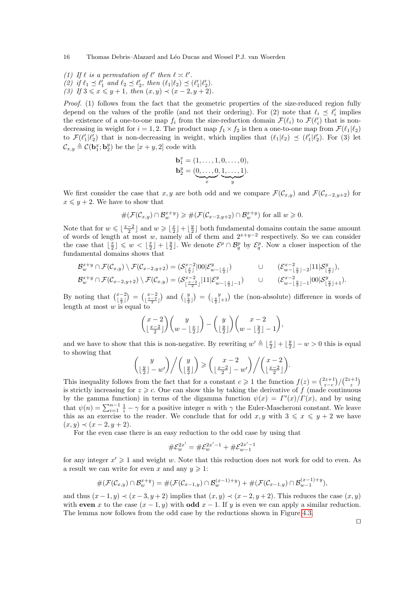- (1) If  $\ell$  is a permutation of  $\ell'$  then  $\ell \asymp \ell'$ .
- (2) if  $\ell_1 \preceq \ell'_1$  and  $\ell_2 \preceq \ell'_2$ , then  $(\ell_1 | \ell_2) \preceq (\ell'_1 | \ell'_2)$ .
- (3) If  $3 \le x \le y+1$ , then  $(x, y) \prec (x-2, y+2)$ .

Proof. (1) follows from the fact that the geometric properties of the size-reduced region fully depend on the values of the profile (and not their ordering). For (2) note that  $\ell_i \preceq \ell'_i$  implies the existence of a one-to-one map  $f_i$  from the size-reduction domain  $\mathcal{F}(\ell_i)$  to  $\mathcal{F}(\ell'_i)$  that is nondecreasing in weight for  $i = 1, 2$ . The product map  $f_1 \times f_2$  is then a one-to-one map from  $\mathcal{F}(\ell_1|\ell_2)$ to  $\mathcal{F}(\ell'_1|\ell'_2)$  that is non-decreasing in weight, which implies that  $(\ell_1|\ell_2) \preceq (\ell'_1|\ell'_2)$ . For (3) let  $\mathcal{C}_{x,y} \triangleq \mathcal{C}(\mathbf{b}_1^x; \mathbf{b}_2^y)$  be the  $[x + y, 2]$  code with

$$
\mathbf{b}_1^x = (1, \dots, 1, 0, \dots, 0),
$$
  

$$
\mathbf{b}_2^y = (\underbrace{0, \dots, 0}_{x}, \underbrace{1, \dots, 1}_{y}).
$$

We first consider the case that x, y are both odd and we compare  $\mathcal{F}(\mathcal{C}_{x,y})$  and  $\mathcal{F}(\mathcal{C}_{x-2,y+2})$  for  $x \leq y + 2$ . We have to show that

$$
\#(\mathcal{F}(\mathcal{C}_{x,y}) \cap \mathcal{B}_w^{x+y}) \geq \#(\mathcal{F}(\mathcal{C}_{x-2,y+2}) \cap \mathcal{B}_w^{x+y}) \text{ for all } w \geq 0.
$$

Note that for  $w \leqslant \lfloor \frac{x-2}{2} \rfloor$  and  $w \geqslant \lfloor \frac{x}{2} \rfloor + \lfloor \frac{y}{2} \rfloor$  both fundamental domains contain the same amount of words of length at most w, namely all of them and  $2^{x+y-2}$  respectively. So we can consider the case that  $\lfloor \frac{x}{2} \rfloor \leq w < \lfloor \frac{x}{2} \rfloor + \lfloor \frac{y}{2} \rfloor$ . We denote  $\mathcal{E}^p \cap \mathcal{B}_q^p$  by  $\mathcal{E}_q^p$ . Now a closer inspection of the fundamental domains shows that

$$
\mathcal{B}_{w}^{x+y} \cap \mathcal{F}(\mathcal{C}_{x,y}) \setminus \mathcal{F}(\mathcal{C}_{x-2,y+2}) = (\mathcal{S}_{\lfloor \frac{x}{2} \rfloor}^{x-2} |00| \mathcal{E}_{w-\lfloor \frac{x}{2} \rfloor}^{y}) \qquad \qquad \cup \qquad (\mathcal{E}_{w-\lfloor \frac{y}{2} \rfloor-2}^{x-2} |11| \mathcal{S}_{\lfloor \frac{y}{2} \rfloor}^{y}),
$$

$$
\mathcal{B}_{w}^{x+y} \cap \mathcal{F}(\mathcal{C}_{x-2,y+2}) \setminus \mathcal{F}(\mathcal{C}_{x,y}) = (\mathcal{S}_{\lfloor \frac{x-2}{2} \rfloor}^{x-2} |11| \mathcal{E}_{w-\lfloor \frac{x}{2} \rfloor-1}^{y}) \qquad \qquad \cup \qquad (\mathcal{E}_{w-\lfloor \frac{y}{2} \rfloor-1}^{x-2} |00| \mathcal{S}_{\lfloor \frac{y}{2} \rfloor+1}^{y}).
$$

By noting that  $\binom{x-2}{\lfloor \frac{x}{2} \rfloor} = \binom{x-2}{\lfloor \frac{x}{2} \rfloor}$  and  $\binom{y}{\lfloor \frac{y}{2} \rfloor} = \binom{y}{\lfloor \frac{y}{2} \rfloor+1}$  the (non-absolute) difference in words of length at most  $w$  is equal to

$$
\binom{x-2}{\lfloor \frac{x-2}{2} \rfloor} \binom{y}{w-\lfloor \frac{x}{2} \rfloor} - \binom{y}{\lfloor \frac{y}{2} \rfloor} \binom{x-2}{w-\lfloor \frac{y}{2} \rfloor-1},
$$

and we have to show that this is non-negative. By rewriting  $w' \triangleq \lfloor \frac{x}{2} \rfloor + \lfloor \frac{y}{2} \rfloor - w > 0$  this is equal to showing that

$$
\binom{y}{\lfloor \frac{y}{2} \rfloor - w'} / \binom{y}{\lfloor \frac{y}{2} \rfloor} \geqslant \binom{x - 2}{\lfloor \frac{x - 2}{2} \rfloor - w'} / \binom{x - 2}{\lfloor \frac{x - 2}{2} \rfloor}.
$$

This inequality follows from the fact that for a constant  $c \geq 1$  the function  $f(z) = \frac{\binom{2z+1}{z-c}}{\binom{2z+1}{z}}$ is strictly increasing for  $z \geq c$ . One can show this by taking the derivative of f (made continuous by the gamma function) in terms of the digamma function  $\psi(x) = \Gamma'(x)/\Gamma(x)$ , and by using that  $\psi(n) = \sum_{i=1}^{n-1} \frac{1}{i} - \gamma$  for a positive integer n with  $\gamma$  the Euler-Mascheroni constant. We leave this as an exercise to the reader. We conclude that for odd  $x, y$  with  $3 \leq x \leq y + 2$  we have  $(x, y) \prec (x - 2, y + 2).$ 

For the even case there is an easy reduction to the odd case by using that

$$
\#\mathcal{E}^{2x'}_{w}=\#\mathcal{E}^{2x'-1}_{w}+\#\mathcal{E}^{2x'-1}_{w-1}
$$

for any integer  $x' \geq 1$  and weight w. Note that this reduction does not work for odd to even. As a result we can write for even x and any  $y \geq 1$ :

$$
#(\mathcal{F}(\mathcal{C}_{x,y}) \cap \mathcal{B}_{w}^{x+y}) = #(\mathcal{F}(\mathcal{C}_{x-1,y}) \cap \mathcal{B}_{w}^{(x-1)+y}) + #(\mathcal{F}(\mathcal{C}_{x-1,y}) \cap \mathcal{B}_{w-1}^{(x-1)+y}),
$$

and thus  $(x-1, y) \prec (x-3, y+2)$  implies that  $(x, y) \prec (x-2, y+2)$ . This reduces the case  $(x, y)$ with even x to the case  $(x - 1, y)$  with odd  $x - 1$ . If y is even we can apply a similar reduction. The lemma now follows from the odd case by the reductions shown in Figure 4.3.

 $\Box$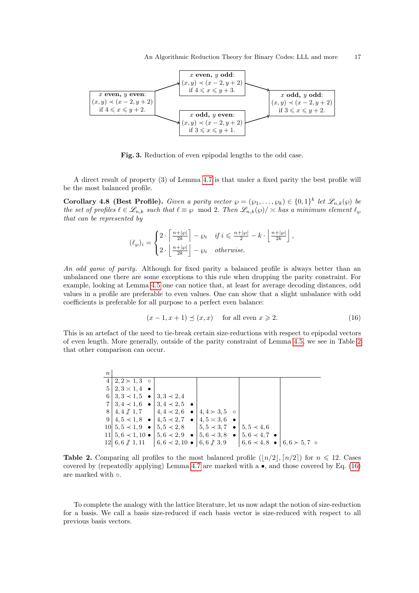

Fig. 3. Reduction of even epipodal lengths to the odd case.

A direct result of property (3) of Lemma 4.7 is that under a fixed parity the best profile will be the most balanced profile.

**Corollary 4.8 (Best Profile).** Given a parity vector  $\varphi = (\varphi_1, \dots, \varphi_k) \in \{0,1\}^k$  let  $\mathscr{L}_{n,k}(\varphi)$  be the set of profiles  $\ell \in \mathscr{L}_{n,k}$  such that  $\ell \equiv \wp \mod 2$ . Then  $\mathscr{L}_{n,k}(\wp)/\asymp$  has a minimum element  $\ell_{\wp}$ that can be represented by

$$
(\ell_{\wp})_i = \begin{cases} 2 \cdot \left\lceil \frac{n+|\wp|}{2k} \right\rceil - \wp_i & \text{if } i \leqslant \frac{n+|\wp|}{2} - k \cdot \left\lfloor \frac{n+|\wp|}{2k} \right\rfloor, \\ 2 \cdot \left\lfloor \frac{n+|\wp|}{2k} \right\rfloor - \wp_i & \text{otherwise.} \end{cases}
$$

An odd game of parity. Although for fixed parity a balanced profile is always better than an unbalanced one there are some exceptions to this rule when dropping the parity constraint. For example, looking at Lemma 4.5 one can notice that, at least for average decoding distances, odd values in a profile are preferable to even values. One can show that a slight unbalance with odd coefficients is preferable for all purpose to a perfect even balance:

$$
(x - 1, x + 1) \preceq (x, x) \quad \text{for all even } x \ge 2. \tag{16}
$$

This is an artefact of the need to tie-break certain size-reductions with respect to epipodal vectors of even length. More generally, outside of the parity constraint of Lemma 4.5, we see in Table 2 that other comparison can occur.

| $\boldsymbol{n}$ |                                                                     |                                                                                                    |                                                                                                       |                                                 |  |
|------------------|---------------------------------------------------------------------|----------------------------------------------------------------------------------------------------|-------------------------------------------------------------------------------------------------------|-------------------------------------------------|--|
|                  | $4 \mid 2, 2 \succ 1, 3$ o                                          |                                                                                                    |                                                                                                       |                                                 |  |
|                  | $5 \mid 2, 3 \times 1, 4$ $\bullet$                                 |                                                                                                    |                                                                                                       |                                                 |  |
|                  | $6 \mid 3, 3 \prec 1, 5$ $\bullet \mid 3, 3 \prec 2, 4$             |                                                                                                    |                                                                                                       |                                                 |  |
|                  | $7 \mid 3, 4 \prec 1, 6$ $\bullet$ $\mid 3, 4 \prec 2, 5$ $\bullet$ |                                                                                                    |                                                                                                       |                                                 |  |
|                  |                                                                     | $8 \mid 4, 4 \nless 1, 7$ $\mid 4, 4 \nless 2, 6$ $\bullet$ $\mid 4, 4 \nless 3, 5$ o              |                                                                                                       |                                                 |  |
|                  |                                                                     | $9 \mid 4, 5 \prec 1, 8$ $\bullet \mid 4, 5 \prec 2, 7$ $\bullet \mid 4, 5 \approx 3, 6$ $\bullet$ |                                                                                                       |                                                 |  |
|                  |                                                                     | $10 5,5 \prec 1,9$ $\bullet$ $ 5,5 \prec 2,8$ $ 5,5 \prec 3,7$ $\bullet$                           |                                                                                                       | $1, 5, 5 \prec 4, 6$                            |  |
|                  |                                                                     |                                                                                                    | 11 $5, 6 \prec 1, 10 \bullet 5, 6 \prec 2, 9 \bullet 5, 6 \prec 3, 8 \bullet 5, 6 \prec 4, 7 \bullet$ |                                                 |  |
|                  |                                                                     | $12  6, 6 \nless 1, 11 \nvert 6, 6 \nless 2, 10 \nightharpoonup 6, 6 \nless 3, 9$                  |                                                                                                       | $ 6,6 \times 4,8 \bullet   6,6 \succ 5,7 \circ$ |  |

**Table 2.** Comparing all profiles to the most balanced profile  $(|n/2|, n/2|)$  for  $n \leq 12$ . Cases covered by (repeatedly applying) Lemma 4.7 are marked with a  $\bullet$ , and those covered by Eq. (16) are marked with  $\circ$ .

To complete the analogy with the lattice literature, let us now adapt the notion of size-reduction for a basis. We call a basis size-reduced if each basis vector is size-reduced with respect to all previous basis vectors.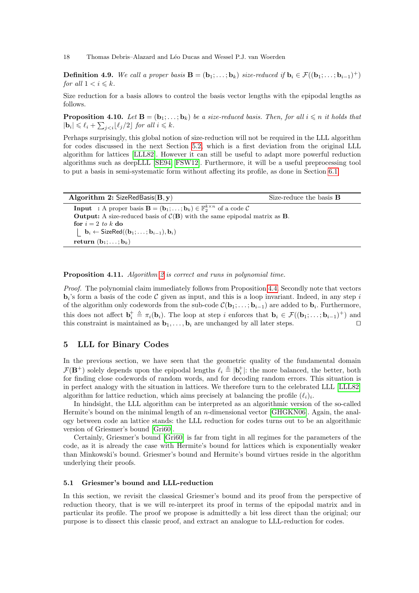**Definition 4.9.** We call a proper basis  $\mathbf{B} = (\mathbf{b}_1; \ldots; \mathbf{b}_k)$  size-reduced if  $\mathbf{b}_i \in \mathcal{F}((\mathbf{b}_1; \ldots; \mathbf{b}_{i-1})^+)$ for all  $1 < i \leq k$ .

Size reduction for a basis allows to control the basis vector lengths with the epipodal lengths as follows.

**Proposition 4.10.** Let  $\mathbf{B} = (\mathbf{b}_1; \ldots; \mathbf{b}_k)$  be a size-reduced basis. Then, for all  $i \leq n$  it holds that  $|\mathbf{b}_i| \leq \ell_i + \sum_{j for all  $i \leq k$ .$ 

Perhaps surprisingly, this global notion of size-reduction will not be required in the LLL algorithm for codes discussed in the next Section 5.2, which is a first deviation from the original LLL algorithm for lattices [LLL82]. However it can still be useful to adapt more powerful reduction algorithms such as deepLLL [SE94, FSW12]. Furthermore, it will be a useful preprocessing tool to put a basis in semi-systematic form without affecting its profile, as done in Section 6.1.

| Algorithm 2: SizeRedBasis $(B, y)$                                                                                           | Size-reduce the basis $\bf{B}$ |
|------------------------------------------------------------------------------------------------------------------------------|--------------------------------|
| <b>Input</b> : A proper basis $\mathbf{B} = (\mathbf{b}_1; \dots; \mathbf{b}_k) \in \mathbb{F}_2^{k \times n}$ of a code $C$ |                                |
| <b>Output:</b> A size-reduced basis of $\mathcal{C}(\mathbf{B})$ with the same epipodal matrix as <b>B</b> .                 |                                |
| for $i = 2$ to k do                                                                                                          |                                |
| $\mathbf{b}_i \leftarrow \mathsf{SizeRed}((\mathbf{b}_1; \ldots; \mathbf{b}_{i-1}), \mathbf{b}_i)$                           |                                |
| return $(b_1; \ldots; b_k)$                                                                                                  |                                |

Proposition 4.11. Algorithm 2 is correct and runs in polynomial time.

Proof. The polynomial claim immediately follows from Proposition 4.4. Secondly note that vectors  $\mathbf{b}_i$ 's form a basis of the code  $\mathcal C$  given as input, and this is a loop invariant. Indeed, in any step i of the algorithm only codewords from the sub-code  $\mathcal{C}(\mathbf{b}_1; \ldots; \mathbf{b}_{i-1})$  are added to  $\mathbf{b}_i$ . Furthermore, this does not affect  $\mathbf{b}_i^+ \triangleq \pi_i(\mathbf{b}_i)$ . The loop at step i enforces that  $\mathbf{b}_i \in \mathcal{F}((\mathbf{b}_1; \ldots; \mathbf{b}_{i-1})^+)$  and this constraint is maintained as  $\mathbf{b}_1, \ldots, \mathbf{b}_i$  are unchanged by all later steps.

### 5 LLL for Binary Codes

In the previous section, we have seen that the geometric quality of the fundamental domain  $\mathcal{F}(\mathbf{B}^+)$  solely depends upon the epipodal lengths  $\ell_i \triangleq |\mathbf{b}_i^+|$ : the more balanced, the better, both for finding close codewords of random words, and for decoding random errors. This situation is in perfect analogy with the situation in lattices. We therefore turn to the celebrated LLL [LLL82] algorithm for lattice reduction, which aims precisely at balancing the profile  $(\ell_i)_i$ .

In hindsight, the LLL algorithm can be interpreted as an algorithmic version of the so-called Hermite's bound on the minimal length of an n-dimensional vector [GHGKN06]. Again, the analogy between code an lattice stands: the LLL reduction for codes turns out to be an algorithmic version of Griesmer's bound [Gri60].

Certainly, Griesmer's bound [Gri60] is far from tight in all regimes for the parameters of the code, as it is already the case with Hermite's bound for lattices which is exponentially weaker than Minkowski's bound. Griesmer's bound and Hermite's bound virtues reside in the algorithm underlying their proofs.

### 5.1 Griesmer's bound and LLL-reduction

In this section, we revisit the classical Griesmer's bound and its proof from the perspective of reduction theory, that is we will re-interpret its proof in terms of the epipodal matrix and in particular its profile. The proof we propose is admittedly a bit less direct than the original; our purpose is to dissect this classic proof, and extract an analogue to LLL-reduction for codes.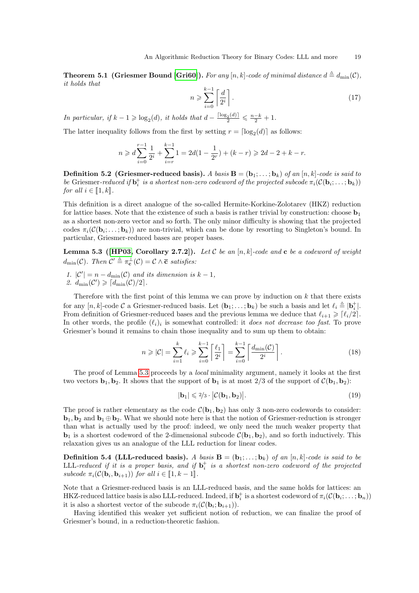**Theorem 5.1 (Griesmer Bound [Gri60]).** For any  $[n, k]$ -code of minimal distance  $d \triangleq d_{\min}(\mathcal{C})$ , it holds that

$$
n \geqslant \sum_{i=0}^{k-1} \left\lceil \frac{d}{2^i} \right\rceil. \tag{17}
$$

In particular, if  $k - 1 \geq \log_2(d)$ , it holds that  $d - \frac{\lceil \log_2(d) \rceil}{2} \leq \frac{n-k}{2} + 1$ .

The latter inequality follows from the first by setting  $r = \lceil \log_2(d) \rceil$  as follows:

$$
n \geqslant d \sum_{i=0}^{r-1} \frac{1}{2^i} + \sum_{i=r}^{k-1} 1 = 2d(1-\frac{1}{2^r}) + (k-r) \geqslant 2d-2+k-r.
$$

**Definition 5.2 (Griesmer-reduced basis).** A basis  $\mathbf{B} = (\mathbf{b}_1; \dots; \mathbf{b}_k)$  of an  $[n, k]$ -code is said to be Griesmer-reduced if  $\mathbf{b}_i^+$  is a shortest non-zero codeword of the projected subcode  $\pi_i(\mathcal{C}(\mathbf{b}_i; \dots; \mathbf{b}_k))$ for all  $i \in [\![1, k]\!]$ .

This definition is a direct analogue of the so-called Hermite-Korkine-Zolotarev (HKZ) reduction for lattice bases. Note that the existence of such a basis is rather trivial by construction: choose  $\mathbf{b}_1$ as a shortest non-zero vector and so forth. The only minor difficulty is showing that the projected codes  $\pi_i(\mathcal{C}(\mathbf{b}_i; \dots; \mathbf{b}_k))$  are non-trivial, which can be done by resorting to Singleton's bound. In particular, Griesmer-reduced bases are proper bases.

**Lemma 5.3 ([HP03, Corollary 2.7.2]).** Let C be an [n, k]-code and c be a codeword of weight  $d_{\min}(\mathcal{C})$ . Then  $\mathcal{C}' \triangleq \pi_{\mathbf{c}}^{\perp}(\mathcal{C}) = \mathcal{C} \wedge \overline{\mathbf{c}}$  satisfies:

1.  $|\mathcal{C}'| = n - d_{\min}(\mathcal{C})$  and its dimension is  $k - 1$ , 2.  $d_{\min}(\mathcal{C}') \geqslant \lceil d_{\min}(\mathcal{C})/2 \rceil$ .

Therefore with the first point of this lemma we can prove by induction on  $k$  that there exists for any  $[n, k]$ -code  $\mathcal C$  a Griesmer-reduced basis. Let  $(\mathbf{b}_1; \ldots; \mathbf{b}_k)$  be such a basis and let  $\ell_i \triangleq |\mathbf{b}_i^+|$ . From definition of Griesmer-reduced bases and the previous lemma we deduce that  $\ell_{i+1} \geq \lceil \ell_i/2 \rceil$ . In other words, the profile  $(\ell_i)_i$  is somewhat controlled: it *does not decrease too fast*. To prove Griesmer's bound it remains to chain those inequality and to sum up them to obtain:

$$
n \geqslant |\mathcal{C}| = \sum_{i=1}^{k} \ell_i \geqslant \sum_{i=0}^{k-1} \left\lceil \frac{\ell_1}{2^i} \right\rceil = \sum_{i=0}^{k-1} \left\lceil \frac{d_{\min}(\mathcal{C})}{2^i} \right\rceil. \tag{18}
$$

The proof of Lemma 5.3 proceeds by a *local* minimality argument, namely it looks at the first two vectors  $\mathbf{b}_1, \mathbf{b}_2$ . It shows that the support of  $\mathbf{b}_1$  is at most 2/3 of the support of  $\mathcal{C}(\mathbf{b}_1, \mathbf{b}_2)$ :

$$
|\mathbf{b}_1| \leq 2/3 \cdot |\mathcal{C}(\mathbf{b}_1, \mathbf{b}_2)|. \tag{19}
$$

The proof is rather elementary as the code  $\mathcal{C}(\mathbf{b}_1, \mathbf{b}_2)$  has only 3 non-zero codewords to consider:  $\mathbf{b}_1, \mathbf{b}_2$  and  $\mathbf{b}_1 \oplus \mathbf{b}_2$ . What we should note here is that the notion of Griesmer-reduction is stronger than what is actually used by the proof: indeed, we only need the much weaker property that  $\mathbf{b}_1$  is a shortest codeword of the 2-dimensional subcode  $\mathcal{C}(\mathbf{b}_1, \mathbf{b}_2)$ , and so forth inductively. This relaxation gives us an analogue of the LLL reduction for linear codes.

**Definition 5.4 (LLL-reduced basis).** A basis  $\mathbf{B} = (\mathbf{b}_1; \dots; \mathbf{b}_k)$  of an  $[n, k]$ -code is said to be LLL-reduced if it is a proper basis, and if  $\mathbf{b}_i^+$  is a shortest non-zero codeword of the projected subcode  $\pi_i(\mathcal{C}(\mathbf{b}_i, \mathbf{b}_{i+1}))$  for all  $i \in [\![1, k-1]\!]$ .

Note that a Griesmer-reduced basis is an LLL-reduced basis, and the same holds for lattices: an HKZ-reduced lattice basis is also LLL-reduced. Indeed, if  $\mathbf{b}_i^+$  is a shortest codeword of  $\pi_i(\mathcal{C}(\mathbf{b}_i;\ldots;\mathbf{b}_n))$ it is also a shortest vector of the subcode  $\pi_i(\mathcal{C}(\mathbf{b}_i; \mathbf{b}_{i+1}))$ .

Having identified this weaker yet sufficient notion of reduction, we can finalize the proof of Griesmer's bound, in a reduction-theoretic fashion.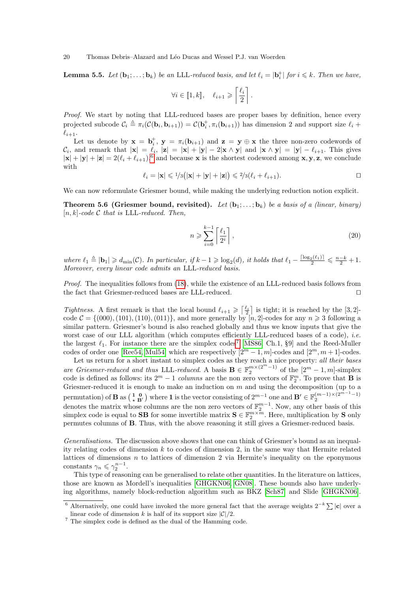**Lemma 5.5.** Let  $(\mathbf{b}_1; \ldots; \mathbf{b}_k)$  be an LLL-reduced basis, and let  $\ell_i = |\mathbf{b}_i^+|$  for  $i \leq k$ . Then we have,

$$
\forall i \in [\![1, k]\!], \quad \ell_{i+1} \geqslant \left\lceil \frac{\ell_i}{2} \right\rceil.
$$

Proof. We start by noting that LLL-reduced bases are proper bases by definition, hence every projected subcode  $C_i \triangleq \pi_i(\mathcal{C}(\mathbf{b}_i, \mathbf{b}_{i+1})) = \mathcal{C}(\mathbf{b}_i^+, \pi_i(\mathbf{b}_{i+1}))$  has dimension 2 and support size  $\ell_i$  +  $\ell_{i+1}.$ 

Let us denote by  $\mathbf{x} = \mathbf{b}_i^+$ ,  $\mathbf{y} = \pi_i(\mathbf{b}_{i+1})$  and  $\mathbf{z} = \mathbf{y} \oplus \mathbf{x}$  the three non-zero codewords of  $\mathcal{C}_i$ , and remark that  $|\mathbf{x}| = \ell_i$ ,  $|\mathbf{z}| = |\mathbf{x}| + |\mathbf{y}| - 2|\mathbf{x} \wedge \mathbf{y}|$  and  $|\mathbf{x} \wedge \mathbf{y}| = |\mathbf{y}| - \ell_{i+1}$ . This gives  $|\mathbf{x}| + |\mathbf{y}| + |\mathbf{z}| = 2(\ell_i + \ell_{i+1}),$ <sup>6</sup> and because **x** is the shortest codeword among **x**, **y**, **z**, we conclude with

$$
\ell_i = |\mathbf{x}| \leq 1/3(|\mathbf{x}| + |\mathbf{y}| + |\mathbf{z}|) \leq 2/3(\ell_i + \ell_{i+1}).
$$

We can now reformulate Griesmer bound, while making the underlying reduction notion explicit.

**Theorem 5.6 (Griesmer bound, revisited).** Let  $(b_1; \ldots; b_k)$  be a basis of a (linear, binary)  $[n, k]$ -code C that is LLL-reduced. Then,

$$
n \geqslant \sum_{i=0}^{k-1} \left\lceil \frac{\ell_1}{2^i} \right\rceil,\tag{20}
$$

where  $\ell_1 \triangleq |\mathbf{b}_1| \geq d_{\min}(\mathcal{C})$ . In particular, if  $k-1 \geq \log_2(d)$ , it holds that  $\ell_1 - \frac{\lceil \log_2(\ell_1) \rceil}{2} \leq \frac{n-k}{2} + 1$ . Moreover, every linear code admits an LLL-reduced basis.

Proof. The inequalities follows from (18), while the existence of an LLL-reduced basis follows from the fact that Griesmer-reduced bases are LLL-reduced.  $\Box$ 

Tightness. A first remark is that the local bound  $\ell_{i+1} \geq \lceil \frac{\ell_i}{2} \rceil$  is tight; it is reached by the [3, 2]code  $\mathcal{C} = \{(000), (101), (110), (011)\}\text{, and more generally by } [n, 2]\text{-codes for any } n \geq 3 \text{ following a}$ similar pattern. Griesmer's bound is also reached globally and thus we know inputs that give the worst case of our LLL algorithm (which computes efficiently LLL-reduced bases of a code), *i.e.* the largest  $\ell_1$ . For instance there are the simplex codes<sup>7</sup> [MS86, Ch.1, §9] and the Reed-Muller codes of order one [Ree54, Mul54] which are respectively  $[2^m - 1, m]$ -codes and  $[2^m, m + 1]$ -codes.

Let us return for a short instant to simplex codes as they reach a nice property: all their bases are Griesmer-reduced and thus LLL-reduced. A basis  $\mathbf{B} \in \mathbb{F}_2^{m \times (2^m-1)}$  of the  $[2^m - 1, m]$ -simplex code is defined as follows: its  $2^m - 1$  columns are the non zero vectors of  $\mathbb{F}_2^m$ . To prove that **B** is Griesmer-reduced it is enough to make an induction on  $m$  and using the decomposition (up to a permutation) of **B** as  $\begin{pmatrix} 1 & 0 \\ \star & B' \end{pmatrix}$  where **1** is the vector consisting of  $2^{m-1}$  one and  $B' \in \mathbb{F}_2^{(m-1)\times (2^{m-1}-1)}$  denotes the matrix whose columns are the non zero vectors of  $\mathbb{F}_2^{m-1}$ . Now, any o simplex code is equal to **SB** for some invertible matrix  $S \in \mathbb{F}_2^{m \times \overline{m}}$ . Here, multiplication by S only permutes columns of B. Thus, with the above reasoning it still gives a Griesmer-reduced basis.

Generalisations. The discussion above shows that one can think of Griesmer's bound as an inequality relating codes of dimension  $k$  to codes of dimension 2, in the same way that Hermite related lattices of dimensions  $n$  to lattices of dimension 2 via Hermite's inequality on the eponymous constants  $\gamma_n \leqslant \gamma_2^{n-1}$ .

This type of reasoning can be generalised to relate other quantities. In the literature on lattices, those are known as Mordell's inequalities [GHGKN06, GN08]. These bounds also have underlying algorithms, namely block-reduction algorithm such as BKZ [Sch87] and Slide [GHGKN06].

<sup>&</sup>lt;sup>6</sup> Alternatively, one could have invoked the more general fact that the average weights  $2^{-k} \sum |\mathbf{c}|$  over a linear code of dimension k is half of its support size  $|\mathcal{C}|/2$ .

 $^7$  The simplex code is defined as the dual of the Hamming code.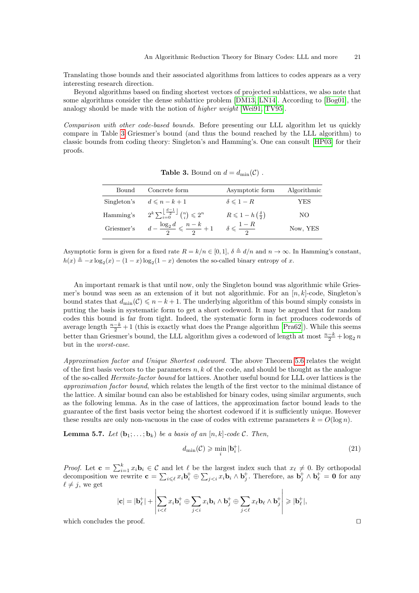Translating those bounds and their associated algorithms from lattices to codes appears as a very interesting research direction.

Beyond algorithms based on finding shortest vectors of projected sublattices, we also note that some algorithms consider the dense sublattice problem [DM13, LN14]. According to [Bog01], the analogy should be made with the notion of higher weight [Wei91, TV95].

Comparison with other code-based bounds. Before presenting our LLL algorithm let us quickly compare in Table 3 Griesmer's bound (and thus the bound reached by the LLL algorithm) to classic bounds from coding theory: Singleton's and Hamming's. One can consult [HP03] for their proofs.

| Bound       | Concrete form                                                                          | Asymptotic form                                | Algorithmic |
|-------------|----------------------------------------------------------------------------------------|------------------------------------------------|-------------|
| Singleton's | $d \leqslant n-k+1$                                                                    | $\delta \leqslant 1-R$                         | YES         |
| Hamming's   | $2^k \sum_{i=0}^{\left\lfloor \frac{d-1}{2} \right\rfloor} \binom{n}{i} \leqslant 2^n$ | $R \leqslant 1-h\left(\frac{\delta}{2}\right)$ | NO.         |
| Griesmer's  | $d-\frac{\log_2 d}{2}\leqslant \frac{n-k}{2}+1$ $\delta\leqslant \frac{1-R}{2}$        |                                                | Now, YES    |

**Table 3.** Bound on  $d = d_{\min}(\mathcal{C})$ .

Asymptotic form is given for a fixed rate  $R = k/n \in [0, 1], \delta \triangleq d/n$  and  $n \to \infty$ . In Hamming's constant,  $h(x) \triangleq -x \log_2(x) - (1-x) \log_2(1-x)$  denotes the so-called binary entropy of x.

An important remark is that until now, only the Singleton bound was algorithmic while Griesmer's bound was seen as an extension of it but not algorithmic. For an  $[n, k]$ -code, Singleton's bound states that  $d_{\min}(\mathcal{C}) \leq n - k + 1$ . The underlying algorithm of this bound simply consists in putting the basis in systematic form to get a short codeword. It may be argued that for random codes this bound is far from tight. Indeed, the systematic form in fact produces codewords of average length  $\frac{n-k}{2} + 1$  (this is exactly what does the Prange algorithm [Pra62]). While this seems better than Griesmer's bound, the LLL algorithm gives a codeword of length at most  $\frac{n-k}{2} + \log_2 n$ but in the worst-case.

Approximation factor and Unique Shortest codeword. The above Theorem 5.6 relates the weight of the first basis vectors to the parameters  $n, k$  of the code, and should be thought as the analogue of the so-called Hermite-factor bound for lattices. Another useful bound for LLL over lattices is the approximation factor bound, which relates the length of the first vector to the minimal distance of the lattice. A similar bound can also be established for binary codes, using similar arguments, such as the following lemma. As in the case of lattices, the approximation factor bound leads to the guarantee of the first basis vector being the shortest codeword if it is sufficiently unique. However these results are only non-vacuous in the case of codes with extreme parameters  $k = O(\log n)$ .

**Lemma 5.7.** Let  $(\mathbf{b}_1; \ldots; \mathbf{b}_k)$  be a basis of an  $[n, k]$ -code C. Then,

$$
d_{\min}(\mathcal{C}) \geqslant \min_{i} |\mathbf{b}_{i}^{+}|. \tag{21}
$$

*Proof.* Let  $\mathbf{c} = \sum_{i=1}^{k} x_i \mathbf{b}_i \in \mathcal{C}$  and let  $\ell$  be the largest index such that  $x_{\ell} \neq 0$ . By orthopodal decomposition we rewrite  $\mathbf{c} = \sum_{i \leq \ell} x_i \mathbf{b}_i^+ \oplus \sum_{j \leq i} x_i \mathbf{b}_i \wedge \mathbf{b}_j^+$ . Therefore, as  $\mathbf{b}_j^+ \wedge \mathbf{b}_\ell^+ = \mathbf{0}$  for any  $\ell \neq j$ , we get

$$
|\mathbf{c}| = |\mathbf{b}_{\ell}^+| + \left| \sum_{i < \ell} x_i \mathbf{b}_i^+ \oplus \sum_{j < i} x_i \mathbf{b}_i \wedge \mathbf{b}_j^+ \oplus \sum_{j < \ell} x_\ell \mathbf{b}_\ell \wedge \mathbf{b}_j^+ \right| \geqslant |\mathbf{b}_{\ell}^+|,
$$

which concludes the proof.  $\Box$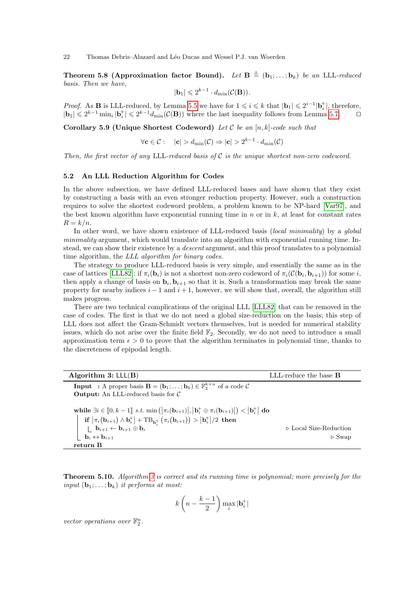**Theorem 5.8 (Approximation factor Bound).** Let  $\mathbf{B} \triangleq (\mathbf{b}_1; \ldots; \mathbf{b}_k)$  be an LLL-reduced basis. Then we have,

$$
|\mathbf{b}_1| \leq 2^{k-1} \cdot d_{\min}(\mathcal{C}(\mathbf{B})).
$$

*Proof.* As **B** is LLL-reduced, by Lemma 5.5 we have for  $1 \leq i \leq k$  that  $|\mathbf{b}_1| \leq 2^{i-1} |\mathbf{b}_i^+|$ , therefore,  $|\mathbf{b}_1| \leq 2^{k-1} \min_i |\mathbf{b}_i^+| \leq 2^{k-1} d_{\min}(\mathcal{C}(\mathbf{B}))$  where the last inequality follows from Lemma 5.7.  $\Box$ 

Corollary 5.9 (Unique Shortest Codeword) Let  $\mathcal C$  be an  $[n, k]$ -code such that

$$
\forall \mathbf{c} \in \mathcal{C}: \quad |\mathbf{c}| > d_{\min}(\mathcal{C}) \Rightarrow |\mathbf{c}| > 2^{k-1} \cdot d_{\min}(\mathcal{C})
$$

Then, the first vector of any LLL-reduced basis of  $\mathcal C$  is the unique shortest non-zero codeword.

#### 5.2 An LLL Reduction Algorithm for Codes

In the above subsection, we have defined LLL-reduced bases and have shown that they exist by constructing a basis with an even stronger reduction property. However, such a construction requires to solve the shortest codeword problem, a problem known to be NP-hard [Var97], and the best known algorithm have exponential running time in n or in  $k$ , at least for constant rates  $R = k/n$ .

In other word, we have shown existence of LLL-reduced basis (local minimality) by a global minimality argument, which would translate into an algorithm with exponential running time. Instead, we can show their existence by a descent argument, and this proof translates to a polynomial time algorithm, the LLL algorithm for binary codes.

The strategy to produce LLL-reduced basis is very simple, and essentially the same as in the case of lattices [LLL82]: if  $\pi_i(\mathbf{b}_i)$  is not a shortest non-zero codeword of  $\pi_i(\mathcal{C}(\mathbf{b}_i, \mathbf{b}_{i+1}))$  for some i, then apply a change of basis on  $\mathbf{b}_i, \mathbf{b}_{i+1}$  so that it is. Such a transformation may break the same property for nearby indices  $i - 1$  and  $i + 1$ , however, we will show that, overall, the algorithm still makes progress.

There are two technical complications of the original LLL [LLL82] that can be removed in the case of codes. The first is that we do not need a global size-reduction on the basis; this step of LLL does not affect the Gram-Schmidt vectors themselves, but is needed for numerical stability issues, which do not arise over the finite field  $\mathbb{F}_2$ . Secondly, we do not need to introduce a small approximation term  $\epsilon > 0$  to prove that the algorithm terminates in polynomial time, thanks to the discreteness of epipodal length.

| Algorithm $3: LL(B)$                                                                                                                                                                                                                                                                                                                                                                                                                                                                                                                                               | LLL-reduce the base <b>B</b>                                   |
|--------------------------------------------------------------------------------------------------------------------------------------------------------------------------------------------------------------------------------------------------------------------------------------------------------------------------------------------------------------------------------------------------------------------------------------------------------------------------------------------------------------------------------------------------------------------|----------------------------------------------------------------|
| <b>Input</b> : A proper basis $\mathbf{B} = (\mathbf{b}_1; \ldots; \mathbf{b}_k) \in \mathbb{F}_2^{k \times n}$ of a code $C$                                                                                                                                                                                                                                                                                                                                                                                                                                      |                                                                |
| <b>Output:</b> An LLL-reduced basis for $\mathcal{C}$                                                                                                                                                                                                                                                                                                                                                                                                                                                                                                              |                                                                |
| while $\exists i \in [0, k-1]$ s.t. $\min\left( \pi_i(\mathbf{b}_{i+1}) ,  \mathbf{b}_i^+ \oplus \pi_i(\mathbf{b}_{i+1}) \right) <  \mathbf{b}_i^+ $ do<br>$\left \begin{array}{c} \textbf{if } \left \pi_i(\textbf{b}_{i+1})\wedge \textbf{b}^+_i\right  + \textbf{TB}_{\textbf{b}^+_i}\left(\pi_i(\textbf{b}_{i+1})\right) > \left \textbf{b}^+_i\right /2 \textbf{ then} \\ \left \begin{array}{c} \textbf{b}_{i+1}\leftarrow \textbf{b}_{i+1}\oplus \textbf{b}_i \\ \textbf{b}_i\leftrightarrow \textbf{b}_{i+1} \end{array}\right \right. \end{array}\right.$ | $\triangleright$ Local Size-Reduction<br>$\triangleright$ Swap |
| return B                                                                                                                                                                                                                                                                                                                                                                                                                                                                                                                                                           |                                                                |

**Theorem 5.10.** Algorithm 3 is correct and its running time is polynomial; more precisely for the input  $(\mathbf{b}_1; \ldots; \mathbf{b}_k)$  it performs at most:

$$
k\left(n-\frac{k-1}{2}\right)\max_{i}|\mathbf{b}_{i}^{+}|
$$

vector operations over  $\mathbb{F}_2^n$ .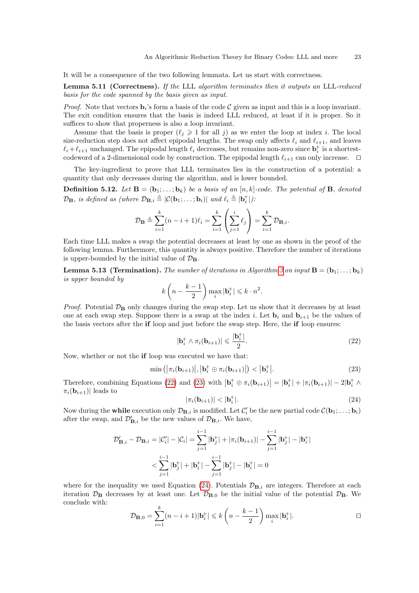It will be a consequence of the two following lemmata. Let us start with correctness.

Lemma 5.11 (Correctness). If the LLL algorithm terminates then it outputs an LLL-reduced basis for the code spanned by the basis given as input.

*Proof.* Note that vectors  $\mathbf{b}_i$ 's form a basis of the code  $\mathcal C$  given as input and this is a loop invariant. The exit condition ensures that the basis is indeed LLL reduced, at least if it is proper. So it suffices to show that properness is also a loop invariant.

Assume that the basis is proper  $(\ell_j \geq 1$  for all j) as we enter the loop at index i. The local size-reduction step does not affect epipodal lengths. The swap only affects  $\ell_i$  and  $\ell_{i+1}$ , and leaves  $\ell_i + \ell_{i+1}$  unchanged. The epipodal length  $\ell_i$  decreases, but remains non-zero since  $\mathbf{b}_i^+$  is a shortestcodeword of a 2-dimensional code by construction. The epipodal length  $\ell_{i+1}$  can only increase.  $\Box$ 

The key-ingredient to prove that LLL terminates lies in the construction of a potential: a quantity that only decreases during the algorithm, and is lower bounded.

**Definition 5.12.** Let  $\mathbf{B} = (\mathbf{b}_1; \ldots; \mathbf{b}_k)$  be a basis of an  $[n, k]$ -code. The potential of **B**, denoted  $\mathcal{D}_{\mathbf{B}}$ , is defined as (where  $\mathcal{D}_{\mathbf{B},i} \triangleq |\mathcal{C}(\mathbf{b}_1; \dots; \mathbf{b}_i)|$  and  $\ell_i \triangleq |\mathbf{b}_i^+|$ ):

$$
\mathcal{D}_{\mathbf{B}} \triangleq \sum_{i=1}^{k} (n-i+1)\ell_i = \sum_{i=1}^{k} \left(\sum_{j=1}^{i} \ell_j\right) = \sum_{i=1}^{k} \mathcal{D}_{\mathbf{B},i}.
$$

Each time LLL makes a swap the potential decreases at least by one as shown in the proof of the following lemma. Furthermore, this quantity is always positive. Therefore the number of iterations is upper-bounded by the initial value of  $\mathcal{D}_B$ .

**Lemma 5.13 (Termination).** The number of iterations in Algorithm 3 on input  $\mathbf{B} = (\mathbf{b}_1; \ldots; \mathbf{b}_k)$ is upper bounded by

$$
k\left(n-\frac{k-1}{2}\right)\max_i |\mathbf{b}_i^+| \leqslant k\cdot n^2.
$$

*Proof.* Potential  $\mathcal{D}_B$  only changes during the swap step. Let us show that it decreases by at least one at each swap step. Suppose there is a swap at the index i. Let  $\mathbf{b}_i$  and  $\mathbf{b}_{i+1}$  be the values of the basis vectors after the if loop and just before the swap step. Here, the if loop ensures:

$$
|\mathbf{b}_i^+ \wedge \pi_i(\mathbf{b}_{i+1})| \leqslant \frac{|\mathbf{b}_i^+|}{2}.\tag{22}
$$

Now, whether or not the if loop was executed we have that:

$$
\min\left(|\pi_i(\mathbf{b}_{i+1})|, |\mathbf{b}_i^+ \oplus \pi_i(\mathbf{b}_{i+1})|\right) < |\mathbf{b}_i^+|.\tag{23}
$$

Therefore, combining Equations (22) and (23) with  $|\mathbf{b}_i^+ \oplus \pi_i(\mathbf{b}_{i+1})| = |\mathbf{b}_i^+| + |\pi_i(\mathbf{b}_{i+1})| - 2|\mathbf{b}_i^+ \wedge$  $\pi_i(\mathbf{b}_{i+1})$  leads to

$$
|\pi_i(\mathbf{b}_{i+1})| < |\mathbf{b}_i^+|.\tag{24}
$$

Now during the **while** execution only  $\mathcal{D}_{\mathbf{B},i}$  is modified. Let  $\mathcal{C}'_i$  be the new partial code  $\mathcal{C}(\mathbf{b}_1; \ldots; \mathbf{b}_i)$ after the swap, and  $\mathcal{D}'_{\mathbf{B},i}$  be the new values of  $\mathcal{D}_{\mathbf{B},i}$ . We have,

$$
\mathcal{D}'_{\mathbf{B},i} - \mathcal{D}_{\mathbf{B},i} = |\mathcal{C}'_i| - |\mathcal{C}_i| = \sum_{j=1}^{i-1} |\mathbf{b}^+_j| + |\pi_i(\mathbf{b}_{i+1})| - \sum_{j=1}^{i-1} |\mathbf{b}^+_j| - |\mathbf{b}^+_i|
$$
  

$$
< \sum_{j=1}^{i-1} |\mathbf{b}^+_j| + |\mathbf{b}^+_i| - \sum_{j=1}^{i-1} |\mathbf{b}^+_j| - |\mathbf{b}^+_i| = 0
$$

where for the inequality we used Equation (24). Potentials  $\mathcal{D}_{\mathbf{B},i}$  are integers. Therefore at each iteration  $\mathcal{D}_B$  decreases by at least one. Let  $\mathcal{D}_{B,0}$  be the initial value of the potential  $\mathcal{D}_B$ . We conclude with:

$$
\mathcal{D}_{\mathbf{B},0} = \sum_{i=1}^{k} (n-i+1)|\mathbf{b}_i^+| \leq k\left(n - \frac{k-1}{2}\right) \max_i |\mathbf{b}_i^+|.
$$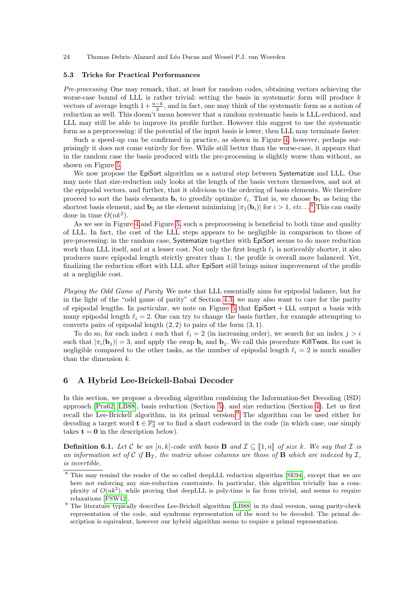### 5.3 Tricks for Practical Performances

Pre-processing One may remark, that, at least for random codes, obtaining vectors achieving the worse-case bound of LLL is rather trivial: setting the basis in systematic form will produce  $k$ vectors of average length  $1 + \frac{n-k}{2}$ , and in fact, one may think of the systematic form as a notion of reduction as well. This doesn't mean however that a random systematic basis is LLL-reduced, and LLL may still be able to improve its profile further. However this suggest to use the systematic form as a preprocessing: if the potential of the input basis is lower, then LLL may terminate faster.

Such a speed-up can be confirmed in practice, as shown in Figure 4, however, perhaps surprisingly it does not come entirely for free. While still better than the worse-case, it appears that in the random case the basis produced with the pre-processing is slightly worse than without, as shown on Figure 5.

We now propose the EpiSort algorithm as a natural step between Systematize and LLL. One may note that size-reduction only looks at the length of the basis vectors themselves, and not at the epipodal vectors, and further, that it oblivious to the ordering of basis elements. We therefore proceed to sort the basis elements  $\mathbf{b}_i$  to greedily optimize  $\ell_i$ . That is, we choose  $\mathbf{b}_1$  as being the shortest basis element, and  $\mathbf{b}_2$  as the element minimizing  $|\pi_1(\mathbf{b}_i)|$  for  $i > 1$ , etc...<sup>8</sup> This can easily done in time  $O(nk^2)$ .

As we see in Figure 4 and Figure 5, such a preprocessing is beneficial to both time and quality of LLL. In fact, the cost of the LLL steps appears to be negligible in comparison to those of pre-processing: in the random case, Systematize together with EpiSort seems to do more reduction work than LLL itself, and at a lesser cost. Not only the first length  $\ell_1$  is noticeably shorter, it also produces more epipodal length strictly greater than 1; the profile is overall more balanced. Yet, finalizing the reduction effort with LLL after EpiSort still brings minor improvement of the profile at a negligible cost.

Playing the Odd Game of Parity We note that LLL essentially aims for epipodal balance, but for in the light of the "odd game of parity" of Section 4.3, we may also want to care for the parity of epipodal lengths. In particular, we note on Figure 5 that  $EpISort + LLL$  output a basis with many epipodal length  $\ell_i = 2$ . One can try to change the basis further, for example attempting to converts pairs of epipodal length  $(2, 2)$  to pairs of the form  $(3, 1)$ .

To do so, for each index i such that  $\ell_i = 2$  (in increasing order), we search for an index  $j > i$ such that  $|\pi_i(\mathbf{b}_j)| = 3$ , and apply the swap  $\mathbf{b}_i$  and  $\mathbf{b}_j$ . We call this procedure KillTwos. Its cost is negligible compared to the other tasks, as the number of epipodal length  $\ell_i = 2$  is much smaller than the dimension k.

### 6 A Hybrid Lee-Brickell-Babai Decoder

In this section, we propose a decoding algorithm combining the Information-Set Decoding (ISD) approach [Pra62, LB88], basis reduction (Section 5), and size reduction (Section 4). Let us first recall the Lee-Brickell algorithm, in its primal version.<sup>9</sup> The algorithm can be used either for decoding a target word  $\mathbf{t} \in \mathbb{F}_2^n$  or to find a short codeword in the code (in which case, one simply takes  $t = 0$  in the description below).

**Definition 6.1.** Let C be an [n, k]-code with basis **B** and  $\mathcal{I} \subseteq [\![1,n]\!]$  of size k. We say that  $\mathcal{I}$  is an information set of C if  $B_{\mathcal{I}}$ , the matrix whose columns are those of B which are indexed by I, is invertible.

<sup>&</sup>lt;sup>8</sup> This may remind the reader of the so called deepLLL reduction algorithm [SE94], except that we are here not enforcing any size-reduction constraints. In particular, this algorithm trivially has a complexity of  $O(nk^2)$ , while proving that deepLLL is poly-time is far from trivial, and seems to require relaxations [FSW12].

<sup>&</sup>lt;sup>9</sup> The literature typically describes Lee-Brickell algorithm [LB88] in its dual version, using parity-check representation of the code, and syndrome representation of the word to be decoded. The primal description is equivalent, however our hybrid algorithm seems to require a primal representation.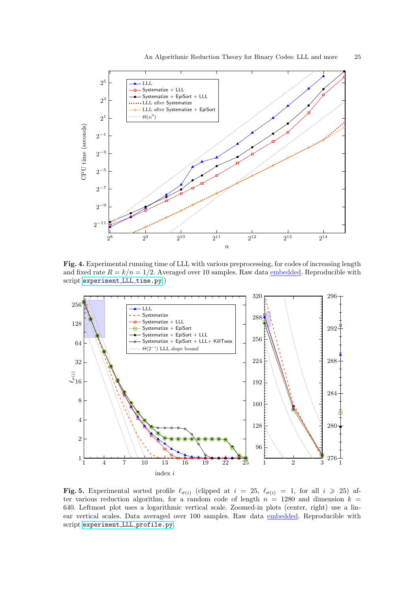

Fig. 4. Experimental running time of LLL with various preprocessing, for codes of increasing length and fixed rate  $R = k/n = 1/2$ . Averaged over 10 samples. Raw data embedded. Reproducible with script [experiment](https://github.com/lducas/CodeRed/blob/master/experiment_LLL_time.py) LLL time.py.)



Fig. 5. Experimental sorted profile  $\ell_{\sigma(i)}$  (clipped at  $i = 25$ ,  $\ell_{\sigma(i)} = 1$ , for all  $i \geq 25$ ) after various reduction algorithm, for a random code of length  $n = 1280$  and dimension  $k =$ 640. Leftmost plot uses a logarithmic vertical scale. Zoomed-in plots (center, right) use a linear vertical scales. Data averaged over 100 samples. Raw data embedded. Reproducible with script [experiment](https://github.com/lducas/CodeRed/blob/master/experiment_LLL_profile.py) LLL profile.py.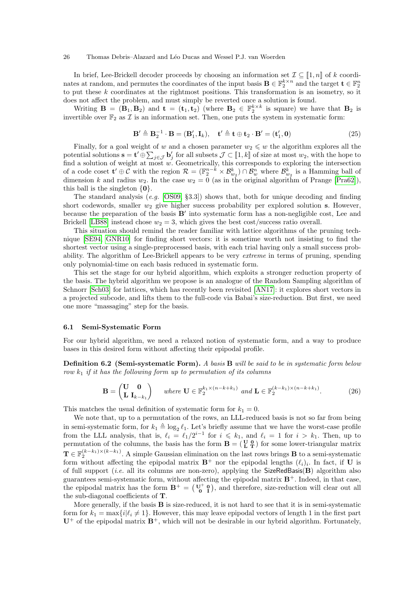In brief, Lee-Brickell decoder proceeds by choosing an information set  $\mathcal{I} \subseteq [1, n]$  of k coordinates at random, and permutes the coordinates of the input basis  $\mathbf{B} \in \mathbb{F}_2^{k \times n}$  and the target  $\mathbf{t} \in \mathbb{F}_2^n$ to put these k coordinates at the rightmost positions. This transformation is an isometry, so it does not affect the problem, and must simply be reverted once a solution is found.

Writing  $\mathbf{B} = (\mathbf{B}_1, \mathbf{B}_2)$  and  $\mathbf{t} = (\mathbf{t}_1, \mathbf{t}_2)$  (where  $\mathbf{B}_2 \in \mathbb{F}_2^{k \times k}$  is square) we have that  $\mathbf{B}_2$  is invertible over  $\mathbb{F}_2$  as  $\mathcal I$  is an information set. Then, one puts the system in systematic form:

$$
\mathbf{B}' \triangleq \mathbf{B}_2^{-1} \cdot \mathbf{B} = (\mathbf{B}'_1, \mathbf{I}_k), \quad \mathbf{t}' \triangleq \mathbf{t} \oplus \mathbf{t}_2 \cdot \mathbf{B}' = (\mathbf{t}'_1, \mathbf{0})
$$
(25)

Finally, for a goal weight of w and a chosen parameter  $w_2 \leq w$  the algorithm explores all the potential solutions  $\mathbf{s} = \mathbf{t}' \oplus \sum_{j \in \mathcal{J}} \mathbf{b}'_j$  for all subsets  $\mathcal{J} \subset [\![1, k]\!]$  of size at most  $w_2$ , with the hope to find a solution of weight at most w. Geometrically, this corresponds to exploring the int of a code coset  $\mathbf{t}' \oplus \mathcal{C}$  with the region  $\mathcal{R} = (\mathbb{F}_2^{n-k} \times \mathcal{B}_{w_2}^k) \cap \mathcal{B}_{w}^n$  where  $\mathcal{B}_{w_2}^k$  is a Hamming ball of dimension k and radius  $w_2$ . In the case  $w_2 = 0$  (as in the original algorithm of Prange [Pra62]), this ball is the singleton  $\{0\}$ .

The standard analysis  $(e.g. [OS09, §3.3])$  shows that, both for unique decoding and finding short codewords, smaller  $w_2$  give higher success probability per explored solution s. However, because the preparation of the basis  $B'$  into systematic form has a non-negligible cost, Lee and Brickell [LB88] instead chose  $w_2 = 3$ , which gives the best cost/success ratio overall.

This situation should remind the reader familiar with lattice algorithms of the pruning technique [SE94, GNR10] for finding short vectors: it is sometime worth not insisting to find the shortest vector using a single-preprocessed basis, with each trial having only a small success probability. The algorithm of Lee-Brickell appears to be very extreme in terms of pruning, spending only polynomial-time on each basis reduced in systematic form.

This set the stage for our hybrid algorithm, which exploits a stronger reduction property of the basis. The hybrid algorithm we propose is an analogue of the Random Sampling algorithm of Schnorr [Sch03] for lattices, which has recently been revisited [AN17]: it explores short vectors in a projected subcode, and lifts them to the full-code via Babai's size-reduction. But first, we need one more "massaging" step for the basis.

### 6.1 Semi-Systematic Form

For our hybrid algorithm, we need a relaxed notion of systematic form, and a way to produce bases in this desired form without affecting their epipodal profile.

Definition 6.2 (Semi-systematic Form). A basis B will be said to be in systematic form below row  $k_1$  if it has the following form up to permutation of its columns

$$
\mathbf{B} = \begin{pmatrix} \mathbf{U} & \mathbf{0} \\ \mathbf{L} & \mathbf{I}_{k-k_1} \end{pmatrix} \quad \text{where } \mathbf{U} \in \mathbb{F}_2^{k_1 \times (n-k+k_1)} \text{ and } \mathbf{L} \in \mathbb{F}_2^{(k-k_1)\times (n-k+k_1)}.\tag{26}
$$

This matches the usual definition of systematic form for  $k_1 = 0$ .

We note that, up to a permutation of the rows, an LLL-reduced basis is not so far from being in semi-systematic form, for  $k_1 \triangleq \log_2 \ell_1$ . Let's briefly assume that we have the worst-case profile from the LLL analysis, that is,  $\ell_i = \ell_1/2^{i-1}$  for  $i \leq k_1$ , and  $\ell_i = 1$  for  $i > k_1$ . Then, up to permutation of the columns, the basis has the form  $\mathbf{B} = (\begin{smallmatrix} \mathbf{U} & \mathbf{0} \\ \mathbf{L} & \mathbf{T} \end{smallmatrix})$  for some lower-triangular matrix  $\mathbf{T} \in \mathbb{F}_2^{(k-k_1)\times (k-k_1)}$ . A simple Gaussian elimination on the last rows brings **B** to a semi-systematic form without affecting the epipodal matrix  $\mathbf{B}^+$  nor the epipodal lengths  $(\ell_i)_i$ . In fact, if U is of full support (*i.e.* all its columns are non-zero), applying the SizeRedBasis( $\bf{B}$ ) algorithm also guarantees semi-systematic form, without affecting the epipodal matrix  $\mathbf{B}^{+}$ . Indeed, in that case, the epipodal matrix has the form  $\mathbf{B}^+ = \begin{pmatrix} \mathbf{U}^+ & \mathbf{0} \\ \mathbf{0} & \mathbf{I} \end{pmatrix}$ , and therefore, size-reduction will clear out all the sub-diagonal coefficients of T.

More generally, if the basis B is size-reduced, it is not hard to see that it is in semi-systematic form for  $k_1 = \max\{i|\ell_i \neq 1\}$ . However, this may leave epipodal vectors of length 1 in the first part  $U^+$  of the epipodal matrix  $B^+$ , which will not be desirable in our hybrid algorithm. Fortunately,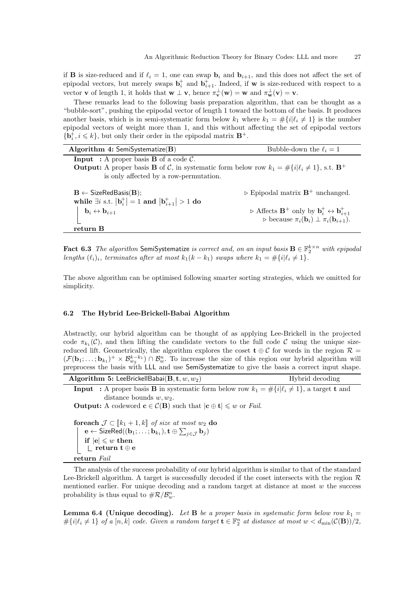if **B** is size-reduced and if  $\ell_i = 1$ , one can swap  $\mathbf{b}_i$  and  $\mathbf{b}_{i+1}$ , and this does not affect the set of epipodal vectors, but merely swaps  $\mathbf{b}_i^+$  and  $\mathbf{b}_{i+1}^+$ . Indeed, if w is size-reduced with respect to a vector **v** of length 1, it holds that  $\mathbf{w} \perp \mathbf{v}$ , hence  $\pi_{\mathbf{v}}^{\perp}(\mathbf{w}) = \mathbf{w}$  and  $\pi_{\mathbf{w}}^{\perp}(\mathbf{v}) = \mathbf{v}$ .

These remarks lead to the following basis preparation algorithm, that can be thought as a "bubble-sort", pushing the epipodal vector of length 1 toward the bottom of the basis. It produces another basis, which is in semi-systematic form below  $k_1$  where  $k_1 = \#\{i | \ell_i \neq 1\}$  is the number epipodal vectors of weight more than 1, and this without affecting the set of epipodal vectors  ${\bf \{b}}_i^+, i \leq k\}$ , but only their order in the epipodal matrix  ${\bf B}^+$ .

| Algorithm 4: SemiSystematize $(B)$                                                                                            | Bubble-down the $\ell_i = 1$                                                                                                                                                                              |
|-------------------------------------------------------------------------------------------------------------------------------|-----------------------------------------------------------------------------------------------------------------------------------------------------------------------------------------------------------|
| <b>Input</b> : A proper basis <b>B</b> of a code $\mathcal{C}$ .                                                              |                                                                                                                                                                                                           |
| <b>Output:</b> A proper basis <b>B</b> of C, in systematic form below row $k_1 = \#\{i \ell_i \neq 1\}$ , s.t. $\mathbf{B}^+$ |                                                                                                                                                                                                           |
| is only affected by a row-permutation.                                                                                        |                                                                                                                                                                                                           |
|                                                                                                                               |                                                                                                                                                                                                           |
| $\mathbf{B} \leftarrow$ SizeRedBasis( $\mathbf{B}$ );                                                                         | $\triangleright$ Epipodal matrix $\mathbf{B}^+$ unchanged.                                                                                                                                                |
| while $\exists i$ s.t. $ \mathbf{b}_i^+  = 1$ and $ \mathbf{b}_{i+1}^+  > 1$ do                                               |                                                                                                                                                                                                           |
| $\mathbf{b}_i \leftrightarrow \mathbf{b}_{i+1}$                                                                               | $\triangleright \text{ Affects } \mathbf{B}^+ \text{ only by } \mathbf{b}_i^+ \leftrightarrow \mathbf{b}_{i+1}^+$<br>$\triangleright \text{ because } \pi_i(\mathbf{b}_i) \perp \pi_i(\mathbf{b}_{i+1}).$ |
|                                                                                                                               |                                                                                                                                                                                                           |
| return B                                                                                                                      |                                                                                                                                                                                                           |

Fact 6.3 The algorithm SemiSystematize is correct and, on an input basis  $\mathbf{B} \in \mathbb{F}_2^{k \times n}$  with epipodal lengths  $(\ell_i)_i$ , terminates after at most  $k_1(k - k_1)$  swaps where  $k_1 = \#\{i | \ell_i \neq 1\}.$ 

The above algorithm can be optimised following smarter sorting strategies, which we omitted for simplicity.

### 6.2 The Hybrid Lee-Brickell-Babai Algorithm

Abstractly, our hybrid algorithm can be thought of as applying Lee-Brickell in the projected code  $\pi_{k_1}(\mathcal{C})$ , and then lifting the candidate vectors to the full code  $\mathcal{C}$  using the unique sizereduced lift. Geometrically, the algorithm explores the coset  $\mathbf{t} \oplus C$  for words in the region  $\mathcal{R} =$  $(\mathcal{F}(\mathbf{b}_1; \ldots; \mathbf{b}_{k_1})^+ \times \mathcal{B}_{w_2}^{k-k_1}) \cap \mathcal{B}_{w}^n$ . To increase the size of this region our hybrid algorithm will preprocess the basis with LLL and use SemiSystematize to give the basis a correct input shape.

| Algorithm 5: LeeBrickellBabai $(\mathbf{B}, \mathbf{t}, w, w_2)$                                                                                                                                                                                                              | Hybrid decoding |
|-------------------------------------------------------------------------------------------------------------------------------------------------------------------------------------------------------------------------------------------------------------------------------|-----------------|
| <b>Input</b> : A proper basis <b>B</b> in systematic form below row $k_1 = \#\{i \ell_i \neq 1\}$ , a target <b>t</b> and                                                                                                                                                     |                 |
| distance bounds $w, w_2$ .                                                                                                                                                                                                                                                    |                 |
| <b>Output:</b> A codeword $\mathbf{c} \in \mathcal{C}(\mathbf{B})$ such that $ \mathbf{c} \oplus \mathbf{t}  \leq w$ or <i>Fail.</i>                                                                                                                                          |                 |
| <b>for<br/>each</b> $\mathcal{J} \subset [k_1 + 1, k]$ of size at most $w_2$ do<br>$\mathbf{e} \leftarrow \mathsf{SizeRed}((\mathbf{b}_1; \ldots; \mathbf{b}_{k_1}), \mathbf{t} \oplus \sum_{j \in \mathcal{J}} \mathbf{b}_j)$<br>if $ e  \leq w$ then<br>return t $\oplus$ e |                 |

return Fail

The analysis of the success probability of our hybrid algorithm is similar to that of the standard Lee-Brickell algorithm. A target is successfully decoded if the coset intersects with the region  $\mathcal{R}$ mentioned earlier. For unique decoding and a random target at distance at most  $w$  the success probability is thus equal to  $\#\mathcal{R}/\mathcal{B}_{w}^{n}$ .

**Lemma 6.4 (Unique decoding).** Let **B** be a proper basis in systematic form below row  $k_1 =$  $\#\{i|\ell_i \neq 1\}$  of a  $[n, k]$  code. Given a random target  $\mathbf{t} \in \mathbb{F}_2^n$  at distance at most  $w < d_{\min}(\mathcal{C}(\mathbf{B}))/2$ ,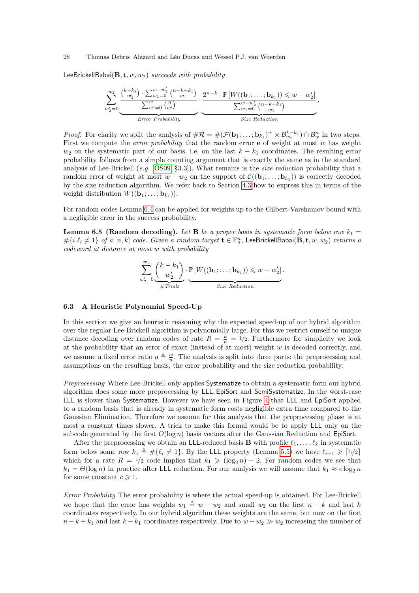LeeBrickellBabai( $B, t, w, w_2$ ) succeeds with probability

Xw2 w<sup>0</sup> <sup>2</sup>=0 k−k<sup>1</sup> w<sup>0</sup> 2 · P<sup>w</sup>−<sup>w</sup> 0 2 <sup>w</sup>1=0 <sup>n</sup>−k+k<sup>1</sup> w<sup>1</sup> P<sup>w</sup> <sup>w</sup>0=0 <sup>n</sup> w<sup>0</sup> | {z } Error Probability · 2 n−k · P [W((b1; . . . ; bk<sup>1</sup> )) 6 w − w 0 2 ] P<sup>w</sup>−w<sup>0</sup> 2 <sup>w</sup>1=0 <sup>n</sup>−k+k<sup>1</sup> w<sup>1</sup> | {z } Size Reduction .

*Proof.* For clarity we split the analysis of  $\#\mathcal{R} = \#(\mathcal{F}(\mathbf{b}_1; \dots; \mathbf{b}_{k_1})^+ \times \mathcal{B}_{w_2}^{k-k_1}) \cap \mathcal{B}_{w}^{n}$  in two steps. First we compute the *error probability* that the random error  $\bf{e}$  of weight at most w has weight  $w_2$  on the systematic part of our basis, i.e. on the last  $k - k_1$  coordinates. The resulting error probability follows from a simple counting argument that is exactly the same as in the standard analysis of Lee-Brickell (e.g. [OS09, §3.3]). What remains is the size reduction probability that a random error of weight at most  $w - w_2$  on the support of  $\mathcal{C}((\mathbf{b}_1; \dots; \mathbf{b}_{k_1}))$  is correctly decoded by the size reduction algorithm. We refer back to Section 4.3 how to express this in terms of the weight distribution  $W((\mathbf{b}_1; \ldots; \mathbf{b}_{k_1})).$ 

For random codes Lemma 6.4 can be applied for weights up to the Gilbert-Varshamov bound with a negligible error in the success probability.

**Lemma 6.5 (Random decoding).** Let **B** be a proper basis in systematic form below row  $k_1 =$  $\#\{i|\ell_i\neq 1\}$  of a  $[n,k]$  code. Given a random target  $\mathbf{t}\in \mathbb{F}_2^n$ , LeeBrickellBabai $(\mathbf{B},\mathbf{t},w,w_2)$  returns a codeword at distance at most w with probability

$$
\sum_{w_2'=0}^{w_2} \underbrace{\binom{k-k_1}{w_2'}}_{\#\text{Trials}} \cdot \underbrace{\mathbb{P}\left[W((\mathbf{b}_1; \dots; \mathbf{b}_{k_1})) \leq w - w_2'\right]}_{\text{Size Reduction}}.
$$

### 6.3 A Heuristic Polynomial Speed-Up

In this section we give an heuristic reasoning why the expected speed-up of our hybrid algorithm over the regular Lee-Brickell algorithm is polynomially large. For this we restrict ourself to unique distance decoding over random codes of rate  $R = \frac{k}{n} = 1/2$ . Furthermore for simplicity we look at the probability that an error of exact (instead of at most) weight  $w$  is decoded correctly, and we assume a fixed error ratio  $a \triangleq \frac{w}{n}$ . The analysis is split into three parts: the preprocessing and assumptions on the resulting basis, the error probability and the size reduction probability.

Preprocessing Where Lee-Brickell only applies Systematize to obtain a systematic form our hybrid algorithm does some more preprocessing by LLL, EpiSort and SemiSystematize. In the worst-case LLL is slower than Systematize. However we have seen in Figure 4 that LLL and EpiSort applied to a random basis that is already in systematic form costs negligible extra time compared to the Gaussian Elimination. Therefore we assume for this analysis that the preprocessing phase is at most a constant times slower. A trick to make this formal would be to apply LLL only on the subcode generated by the first  $O(\log n)$  basis vectors after the Gaussian Reduction and EpiSort.

After the preprocessing we obtain an LLL-reduced basis **B** with profile  $\ell_1, \ldots, \ell_k$  in systematic form below some row  $k_1 \triangleq \#\{\ell_i \neq 1\}$ . By the LLL property (Lemma 5.5) we have  $\ell_{i+1} \geq \lceil \ell_i/2 \rceil$ which for a rate  $R = 1/2$  code implies that  $k_1 \geqslant (\log_2 n) - 2$ . For random codes we see that  $k_1 = \Theta(\log n)$  in practice after LLL reduction. For our analysis we will assume that  $k_1 \approx c \log_2 n$ for some constant  $c \geq 1$ .

Error Probability The error probability is where the actual speed-up is obtained. For Lee-Brickell we hope that the error has weights  $w_1 \triangleq w - w_2$  and small  $w_2$  on the first  $n - k$  and last k coordinates respectively. In our hybrid algorithm these weights are the same, but now on the first  $n - k + k_1$  and last  $k - k_1$  coordinates respectively. Due to  $w - w_2 \gg w_2$  increasing the number of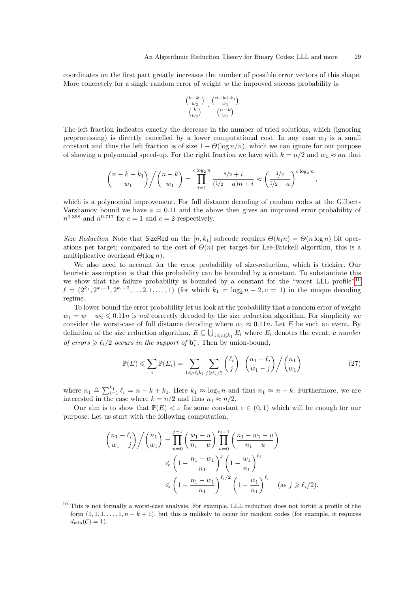coordinates on the first part greatly increases the number of possible error vectors of this shape. More concretely for a single random error of weight  $w$  the improved success probability is

$$
\frac{\binom{k-k_1}{w_2}}{\binom{k}{w_2}} \cdot \frac{\binom{n-k+k_1}{w_1}}{\binom{n-k}{w_1}}
$$

The left fraction indicates exactly the decrease in the number of tried solutions, which (ignoring preprocessing) is directly cancelled by a lower computational cost. In any case  $w_2$  is a small constant and thus the left fraction is of size  $1 - \Theta(\log n/n)$ , which we can ignore for our purpose of showing a polynomial speed-up. For the right fraction we have with  $k = n/2$  and  $w_1 \approx an$  that

$$
{n-k+k_1 \choose w_1} / {n-k \choose w_1} = \prod_{i=1}^{c \log_2 n} \frac{n/2+i}{(1/2-a)n+i} \approx \left(\frac{1/2}{1/2-a}\right)^{c \log_2 n},
$$

which is a polynomial improvement. For full distance decoding of random codes at the Gilbert-Varshamov bound we have  $a = 0.11$  and the above then gives an improved error probability of  $n^{0.358}$  and  $n^{0.717}$  for  $c=1$  and  $c=2$  respectively.

Size Reduction Note that SizeRed on the  $[n, k_1]$  subcode requires  $\Theta(k_1 n) = \Theta(n \log n)$  bit operations per target; compared to the cost of  $\Theta(n)$  per target for Lee-Brickell algorithm, this is a multiplicative overhead  $\Theta(\log n)$ .

We also need to account for the error probability of size-reduction, which is trickier. Our heuristic assumption is that this probability can be bounded by a constant. To substantiate this we show that the failure probability is bounded by a constant for the "worst LLL profile"10  $\ell = (2^{k_1}, 2^{k_1-1}, 2^{k_1-2}, \dots 2, 1, \dots, 1)$  (for which  $k_1 = \log_2 n - 2, c = 1$ ) in the unique decoding regime.

To lower bound the error probability let us look at the probability that a random error of weight  $w_1 = w - w_2 \leqslant 0.11n$  is not correctly decoded by the size reduction algorithm. For simplicity we consider the worst-case of full distance decoding where  $w_1 \approx 0.11n$ . Let E be such an event. By definition of the size reduction algorithm,  $E \subseteq \bigcup_{1 \leq i \leq k_1} E_i$  where  $E_i$  denotes the event, a number of errors  $\geq \ell_i/2$  occurs in the support of  $\mathbf{b}_i^+$ . Then by union-bound,

$$
\mathbb{P}(E) \leqslant \sum_{i} \mathbb{P}(E_i) = \sum_{1 \leqslant i \leqslant k_1} \sum_{j \geqslant \ell_i/2} {\ell_i \choose j} \cdot {\binom{n_1 - \ell_i}{w_1 - j}} / {\binom{n_1}{w_1}}
$$
(27)

where  $n_1 \triangleq \sum_{i=1}^{k_1} \ell_i = n - k + k_1$ . Here  $k_1 \approx \log_2 n$  and thus  $n_1 \approx n - k$ . Furthermore, we are interested in the case where  $k = n/2$  and thus  $n_1 \approx n/2$ .

Our aim is to show that  $\mathbb{P}(E) < \varepsilon$  for some constant  $\varepsilon \in (0,1)$  which will be enough for our purpose. Let us start with the following computation,

$$
\binom{n_1 - \ell_i}{w_1 - j} / \binom{n_1}{w_1} = \prod_{u=0}^{j-1} \left( \frac{w_1 - u}{n_1 - u} \right) \prod_{u=0}^{\ell_i - 1} \left( \frac{n_1 - w_1 - u}{n_1 - u} \right)
$$
  
\$\leqslant \left( 1 - \frac{n\_1 - w\_1}{n\_1} \right)^j \left( 1 - \frac{w\_1}{n\_1} \right)^{\ell\_i}\$  
\$\leqslant \left( 1 - \frac{n\_1 - w\_1}{n\_1} \right)^{\ell\_i/2} \left( 1 - \frac{w\_1}{n\_1} \right)^{\ell\_i}\$ (as  $j \geqslant \ell_i/2$ ).

<sup>10</sup> This is not formally a worst-case analysis. For example, LLL reduction does not forbid a profile of the form  $(1, 1, 1, \ldots, 1, n - k + 1)$ , but this is unlikely to occur for random codes (for example, it requires  $d_{\min}(\mathcal{C})=1$ .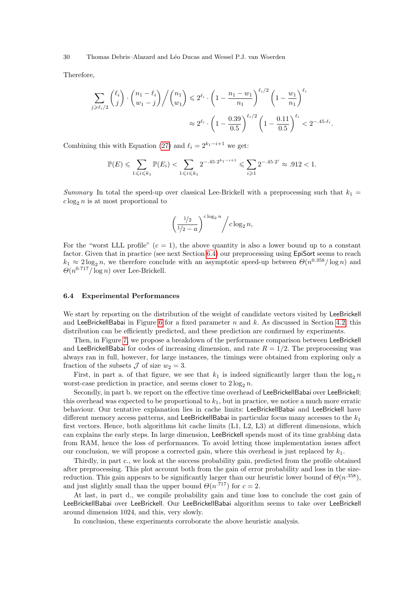Therefore,

$$
\sum_{j \geq \ell_i/2} {\ell_i \choose j} \cdot {n_1 - \ell_i \choose w_1 - j} / {n_1 \choose w_1} \leq 2^{\ell_i} \cdot \left(1 - \frac{n_1 - w_1}{n_1}\right)^{\ell_i/2} \left(1 - \frac{w_1}{n_1}\right)^{\ell_i} \approx 2^{\ell_i} \cdot \left(1 - \frac{0.39}{0.5}\right)^{\ell_i/2} \left(1 - \frac{0.11}{0.5}\right)^{\ell_i} < 2^{-.45 \cdot \ell_i}.
$$

Combining this with Equation (27) and  $\ell_i = 2^{k_1-i+1}$  we get:

$$
\mathbb{P}(E) \leqslant \sum_{1 \leqslant i \leqslant k_1} \mathbb{P}(E_i) < \sum_{1 \leqslant i \leqslant k_1} 2^{-.45 \cdot 2^{k_1 - i + 1}} \leqslant \sum_{i \geqslant 1} 2^{-.45 \cdot 2^i} \approx .912 < 1.
$$

Summary In total the speed-up over classical Lee-Brickell with a preprocessing such that  $k_1 =$  $c \log_2 n$  is at most proportional to

$$
\left(\frac{1/2}{1/2-a}\right)^{c\log_2 n} / c\log_2 n,
$$

For the "worst LLL profile"  $(c = 1)$ , the above quantity is also a lower bound up to a constant factor. Given that in practice (see next Section 6.4) our preprocessing using EpiSort seems to reach  $k_1 \approx 2 \log_2 n$ , we therefore conclude with an asymptotic speed-up between  $\Theta(n^{0.358}/\log n)$  and  $\Theta(n^{0.717}/\log n)$  over Lee-Brickell.

### 6.4 Experimental Performances

We start by reporting on the distribution of the weight of candidate vectors visited by LeeBrickell and LeeBrickellBabai in Figure 6 for a fixed parameter n and k. As discussed in Section 4.2, this distribution can be efficiently predicted, and these prediction are confirmed by experiments.

Then, in Figure 7, we propose a breakdown of the performance comparison between LeeBrickell and LeeBrickellBabai for codes of increasing dimension, and rate  $R = 1/2$ . The preprocessing was always ran in full, however, for large instances, the timings were obtained from exploring only a fraction of the subsets  $\mathcal J$  of size  $w_2 = 3$ .

First, in part a. of that figure, we see that  $k_1$  is indeed significantly larger than the  $\log_2 n$ worst-case prediction in practice, and seems closer to  $2 \log_2 n$ .

Secondly, in part b. we report on the effective time overhead of LeeBrickellBabai over LeeBrickell; this overhead was expected to be proportional to  $k_1$ , but in practice, we notice a much more erratic behaviour. Our tentative explanation lies in cache limits: LeeBrickellBabai and LeeBrickell have different memory access patterns, and LeeBrickellBabai in particular focus many accesses to the  $k_1$ first vectors. Hence, both algorithms hit cache limits (L1, L2, L3) at different dimensions, which can explains the early steps. In large dimension, LeeBrickell spends most of its time grabbing data from RAM, hence the loss of performances. To avoid letting those implementation issues affect our conclusion, we will propose a corrected gain, where this overhead is just replaced by  $k_1$ .

Thirdly, in part c., we look at the success probability gain, predicted from the profile obtained after preprocessing. This plot account both from the gain of error probability and loss in the sizereduction. This gain appears to be significantly larger than our heuristic lower bound of  $\Theta(n^{.358})$ , and just slightly small than the upper bound  $\Theta(n^{717})$  for  $c=2$ .

At last, in part d., we compile probability gain and time loss to conclude the cost gain of LeeBrickellBabai over LeeBrickell. Our LeeBrickellBabai algorithm seems to take over LeeBrickell around dimension 1024, and this, very slowly.

In conclusion, these experiments corroborate the above heuristic analysis.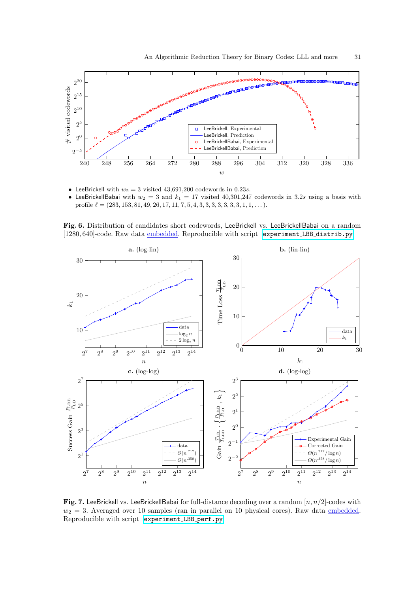

- LeeBrickell with  $w_2 = 3$  visited 43,691,200 codewords in 0.23s.
- LeeBrickellBabai with  $w_2 = 3$  and  $k_1 = 17$  visited 40,301,247 codewords in 3.2s using a basis with profile  $\ell = (283, 153, 81, 49, 26, 17, 11, 7, 5, 4, 3, 3, 3, 3, 3, 3, 3, 1, 1, \ldots).$

Fig. 6. Distribution of candidates short codewords, LeeBrickell vs. LeeBrickellBabai on a random [1280, 640]-code. Raw data **embedded.** Reproducible with script [experiment](https://github.com/lducas/CodeRed/blob/master/experiment_LBB_distrib.py) LBB distrib.py.



Fig. 7. LeeBrickell vs. LeeBrickellBabai for full-distance decoding over a random  $[n, n/2]$ -codes with  $w_2 = 3$ . Averaged over 10 samples (ran in parallel on 10 physical cores). Raw data embedded. Reproducible with script [experiment](https://github.com/lducas/CodeRed/blob/master/experiment_LBB_perf.py) LBB perf.py.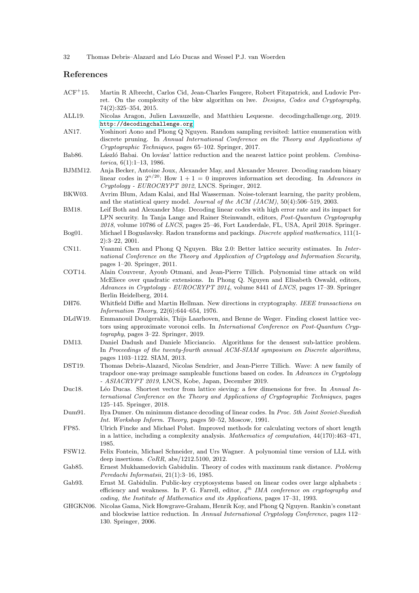32 Thomas Debris–Alazard and Léo Ducas and Wessel P.J. van Woerden

### References

- ACF<sup>+</sup>15. Martin R Albrecht, Carlos Cid, Jean-Charles Faugere, Robert Fitzpatrick, and Ludovic Perret. On the complexity of the bkw algorithm on lwe. Designs, Codes and Cryptography, 74(2):325–354, 2015.
- ALL19. Nicolas Aragon, Julien Lavauzelle, and Matthieu Lequesne. decodingchallenge.org, 2019. <http://decodingchallenge.org>.
- AN17. Yoshinori Aono and Phong Q Nguyen. Random sampling revisited: lattice enumeration with discrete pruning. In Annual International Conference on the Theory and Applications of Cryptographic Techniques, pages 65–102. Springer, 2017.
- Bab86. László Babai. On lovász' lattice reduction and the nearest lattice point problem. Combinatorica, 6(1):1–13, 1986.
- BJMM12. Anja Becker, Antoine Joux, Alexander May, and Alexander Meurer. Decoding random binary linear codes in  $2^{n/20}$ : How  $1+1=0$  improves information set decoding. In Advances in Cryptology - EUROCRYPT 2012, LNCS. Springer, 2012.
- BKW03. Avrim Blum, Adam Kalai, and Hal Wasserman. Noise-tolerant learning, the parity problem, and the statistical query model. Journal of the  $ACM$  (JACM),  $50(4):506-519$ , 2003.
- BM18. Leif Both and Alexander May. Decoding linear codes with high error rate and its impact for LPN security. In Tanja Lange and Rainer Steinwandt, editors, Post-Quantum Cryptography  $2018$ , volume 10786 of *LNCS*, pages  $25-46$ , Fort Lauderdale, FL, USA, April 2018. Springer.
- Bog01. Michael I Boguslavsky. Radon transforms and packings. Discrete applied mathematics, 111(1- 2):3–22, 2001.
- CN11. Yuanmi Chen and Phong Q Nguyen. Bkz 2.0: Better lattice security estimates. In International Conference on the Theory and Application of Cryptology and Information Security, pages 1–20. Springer, 2011.
- COT14. Alain Couvreur, Ayoub Otmani, and Jean-Pierre Tillich. Polynomial time attack on wild McEliece over quadratic extensions. In Phong Q. Nguyen and Elisabeth Oswald, editors, Advances in Cryptology - EUROCRYPT 2014, volume 8441 of LNCS, pages 17–39. Springer Berlin Heidelberg, 2014.
- DH76. Whitfield Diffie and Martin Hellman. New directions in cryptography. IEEE transactions on Information Theory, 22(6):644–654, 1976.
- DLdW19. Emmanouil Doulgerakis, Thijs Laarhoven, and Benne de Weger. Finding closest lattice vectors using approximate voronoi cells. In International Conference on Post-Quantum Cryptography, pages 3–22. Springer, 2019.
- DM13. Daniel Dadush and Daniele Micciancio. Algorithms for the densest sub-lattice problem. In Proceedings of the twenty-fourth annual ACM-SIAM symposium on Discrete algorithms, pages 1103–1122. SIAM, 2013.
- DST19. Thomas Debris-Alazard, Nicolas Sendrier, and Jean-Pierre Tillich. Wave: A new family of trapdoor one-way preimage sampleable functions based on codes. In Advances in Cryptology - ASIACRYPT 2019, LNCS, Kobe, Japan, December 2019.
- Duc18. Léo Ducas. Shortest vector from lattice sieving: a few dimensions for free. In Annual International Conference on the Theory and Applications of Cryptographic Techniques, pages 125–145. Springer, 2018.
- Dum91. Ilya Dumer. On minimum distance decoding of linear codes. In Proc. 5th Joint Soviet-Swedish Int. Workshop Inform. Theory, pages 50–52, Moscow, 1991.
- FP85. Ulrich Fincke and Michael Pohst. Improved methods for calculating vectors of short length in a lattice, including a complexity analysis. Mathematics of computation, 44(170):463–471, 1985.
- FSW12. Felix Fontein, Michael Schneider, and Urs Wagner. A polynomial time version of LLL with deep insertions. CoRR, abs/1212.5100, 2012.
- Gab85. Ernest Mukhamedovich Gabidulin. Theory of codes with maximum rank distance. Problemy Peredachi Informatsii, 21(1):3–16, 1985.
- Gab93. Ernst M. Gabidulin. Public-key cryptosystems based on linear codes over large alphabets : efficiency and weakness. In P. G. Farrell, editor,  $4^{th}$  IMA conference on cryptography and coding, the Institute of Mathematics and its Applications, pages 17–31, 1993.
- GHGKN06. Nicolas Gama, Nick Howgrave-Graham, Henrik Koy, and Phong Q Nguyen. Rankin's constant and blockwise lattice reduction. In Annual International Cryptology Conference, pages 112– 130. Springer, 2006.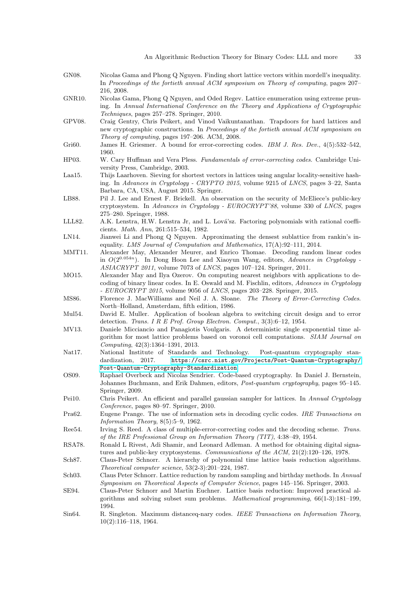- GN08. Nicolas Gama and Phong Q Nguyen. Finding short lattice vectors within mordell's inequality. In Proceedings of the fortieth annual ACM symposium on Theory of computing, pages 207– 216, 2008.
- GNR10. Nicolas Gama, Phong Q Nguyen, and Oded Regev. Lattice enumeration using extreme pruning. In Annual International Conference on the Theory and Applications of Cryptographic Techniques, pages 257–278. Springer, 2010.
- GPV08. Craig Gentry, Chris Peikert, and Vinod Vaikuntanathan. Trapdoors for hard lattices and new cryptographic constructions. In Proceedings of the fortieth annual ACM symposium on Theory of computing, pages 197–206. ACM, 2008.
- Gri60. James H. Griesmer. A bound for error-correcting codes. IBM J. Res. Dev., 4(5):532-542, 1960.
- HP03. W. Cary Huffman and Vera Pless. Fundamentals of error-correcting codes. Cambridge University Press, Cambridge, 2003.
- Laa15. Thijs Laarhoven. Sieving for shortest vectors in lattices using angular locality-sensitive hashing. In Advances in Cryptology - CRYPTO 2015, volume 9215 of LNCS, pages 3–22, Santa Barbara, CA, USA, August 2015. Springer.
- LB88. Pil J. Lee and Ernest F. Brickell. An observation on the security of McEliece's public-key cryptosystem. In Advances in Cryptology -  $EUROCRYPT'88$ , volume 330 of LNCS, pages 275–280. Springer, 1988.
- LLL82. A.K. Lenstra, H.W. Lenstra Jr, and L. Lová'sz. Factoring polynomials with rational coefficients. Math. Ann, 261:515–534, 1982.
- LN14. Jianwei Li and Phong Q Nguyen. Approximating the densest sublattice from rankin's inequality. LMS Journal of Computation and Mathematics, 17(A):92–111, 2014.
- MMT11. Alexander May, Alexander Meurer, and Enrico Thomae. Decoding random linear codes in  $O(2^{0.054n})$ . In Dong Hoon Lee and Xiaoyun Wang, editors, Advances in Cryptology -ASIACRYPT 2011, volume 7073 of LNCS, pages 107–124. Springer, 2011.
- MO15. Alexander May and Ilya Ozerov. On computing nearest neighbors with applications to decoding of binary linear codes. In E. Oswald and M. Fischlin, editors, Advances in Cryptology  $-$  *EUROCRYPT 2015*, volume 9056 of *LNCS*, pages 203–228. Springer, 2015.
- MS86. Florence J. MacWilliams and Neil J. A. Sloane. The Theory of Error-Correcting Codes. North–Holland, Amsterdam, fifth edition, 1986.
- Mul54. David E. Muller. Application of boolean algebra to switching circuit design and to error detection. Trans. I R E Prof. Group Electron. Comput., 3(3):6–12, 1954.
- MV13. Daniele Micciancio and Panagiotis Voulgaris. A deterministic single exponential time algorithm for most lattice problems based on voronoi cell computations. SIAM Journal on Computing, 42(3):1364–1391, 2013.
- Nat17. National Institute of Standards and Technology. Post-quantum cryptography standardization, 2017. [https://csrc.nist.gov/Projects/Post-Quantum-Cryptography/](https://csrc.nist.gov/Projects/Post-Quantum-Cryptography/Post-Quantum-Cryptography-Standardization) [Post-Quantum-Cryptography-Standardization](https://csrc.nist.gov/Projects/Post-Quantum-Cryptography/Post-Quantum-Cryptography-Standardization).
- OS09. Raphael Overbeck and Nicolas Sendrier. Code-based cryptography. In Daniel J. Bernstein, Johannes Buchmann, and Erik Dahmen, editors, Post-quantum cryptography, pages 95–145. Springer, 2009.
- Pei10. Chris Peikert. An efficient and parallel gaussian sampler for lattices. In Annual Cryptology Conference, pages 80–97. Springer, 2010.
- Pra62. Eugene Prange. The use of information sets in decoding cyclic codes. IRE Transactions on Information Theory, 8(5):5–9, 1962.
- Ree54. Irving S. Reed. A class of multiple-error-correcting codes and the decoding scheme. Trans. of the IRE Professional Group on Information Theory (TIT), 4:38–49, 1954.
- RSA78. Ronald L Rivest, Adi Shamir, and Leonard Adleman. A method for obtaining digital signatures and public-key cryptosystems. Communications of the ACM, 21(2):120–126, 1978.
- Sch87. Claus-Peter Schnorr. A hierarchy of polynomial time lattice basis reduction algorithms. Theoretical computer science, 53(2-3):201–224, 1987.
- Sch03. Claus Peter Schnorr. Lattice reduction by random sampling and birthday methods. In Annual Symposium on Theoretical Aspects of Computer Science, pages 145–156. Springer, 2003.
- SE94. Claus-Peter Schnorr and Martin Euchner. Lattice basis reduction: Improved practical algorithms and solving subset sum problems. Mathematical programming, 66(1-3):181–199, 1994.
- Sin64. R. Singleton. Maximum distanceq-nary codes. IEEE Transactions on Information Theory, 10(2):116–118, 1964.